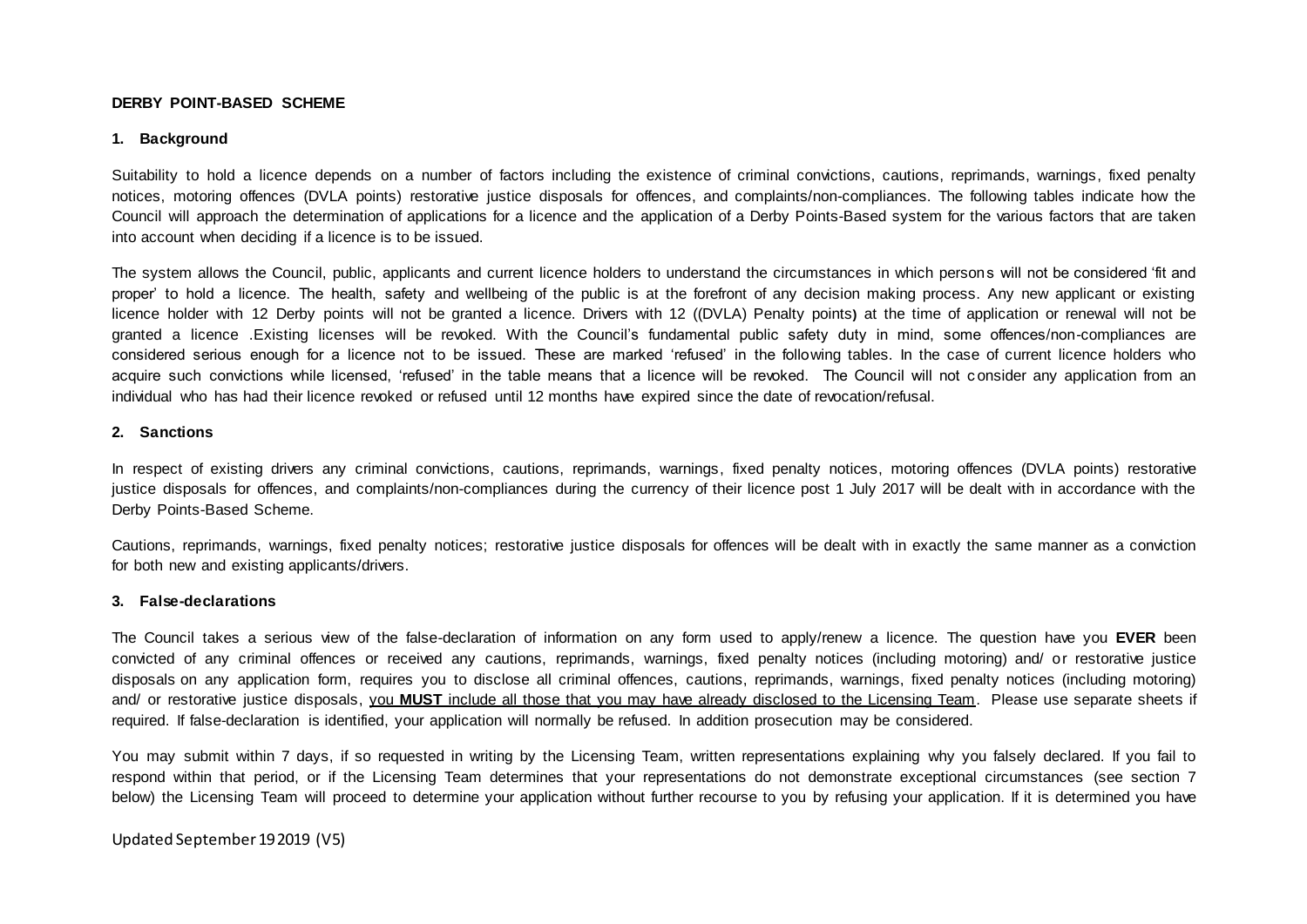## **DERBY POINT-BASED SCHEME**

## **1. Background**

Suitability to hold a licence depends on a number of factors including the existence of criminal convictions, cautions, reprimands, warnings, fixed penalty notices, motoring offences (DVLA points) restorative justice disposals for offences, and complaints/non-compliances. The following tables indicate how the Council will approach the determination of applications for a licence and the application of a Derby Points-Based system for the various factors that are taken into account when deciding if a licence is to be issued.

The system allows the Council, public, applicants and current licence holders to understand the circumstances in which persons will not be considered 'fit and proper' to hold a licence. The health, safety and wellbeing of the public is at the forefront of any decision making process. Any new applicant or existing licence holder with 12 Derby points will not be granted a licence. Drivers with 12 ((DVLA) Penalty points**)** at the time of application or renewal will not be granted a licence .Existing licenses will be revoked. With the Council's fundamental public safety duty in mind, some offences/non-compliances are considered serious enough for a licence not to be issued. These are marked 'refused' in the following tables. In the case of current licence holders who acquire such convictions while licensed, 'refused' in the table means that a licence will be revoked. The Council will not c onsider any application from an individual who has had their licence revoked or refused until 12 months have expired since the date of revocation/refusal.

#### **2. Sanctions**

In respect of existing drivers any criminal convictions, cautions, reprimands, warnings, fixed penalty notices, motoring offences (DVLA points) restorative justice disposals for offences, and complaints/non-compliances during the currency of their licence post 1 July 2017 will be dealt with in accordance with the Derby Points-Based Scheme.

Cautions, reprimands, warnings, fixed penalty notices; restorative justice disposals for offences will be dealt with in exactly the same manner as a conviction for both new and existing applicants/drivers.

## **3. False-declarations**

The Council takes a serious view of the false-declaration of information on any form used to apply/renew a licence. The question have you **EVER** been convicted of any criminal offences or received any cautions, reprimands, warnings, fixed penalty notices (including motoring) and/ or restorative justice disposals on any application form, requires you to disclose all criminal offences, cautions, reprimands, warnings, fixed penalty notices (including motoring) and/ or restorative justice disposals, you **MUST** include all those that you may have already disclosed to the Licensing Team. Please use separate sheets if required. If false-declaration is identified, your application will normally be refused. In addition prosecution may be considered.

You may submit within 7 days, if so requested in writing by the Licensing Team, written representations explaining why you falsely declared. If you fail to respond within that period, or if the Licensing Team determines that your representations do not demonstrate exceptional circumstances (see section 7 below) the Licensing Team will proceed to determine your application without further recourse to you by refusing your application. If it is determined you have

Updated September 19 2019 (V5)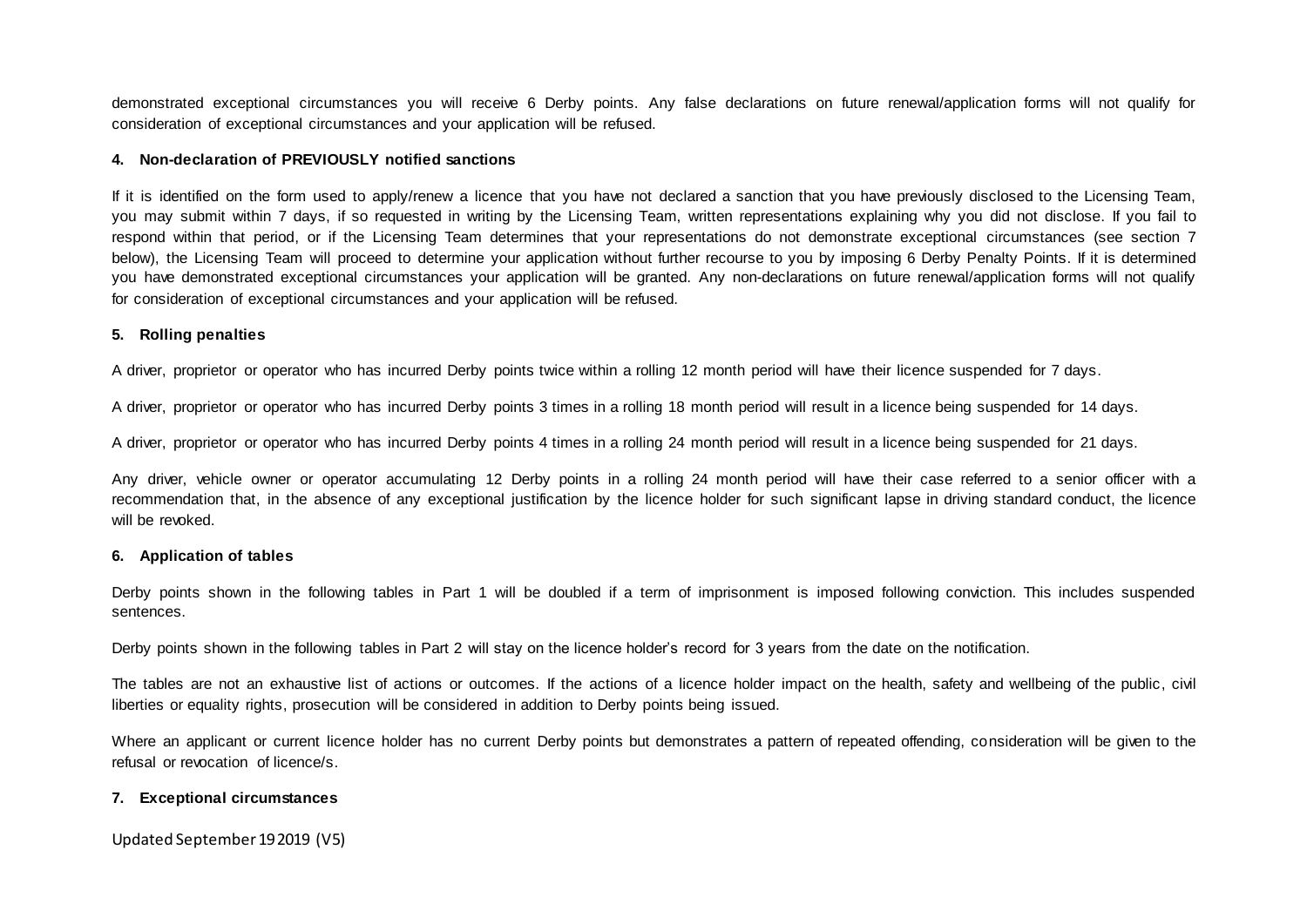demonstrated exceptional circumstances you will receive 6 Derby points. Any false declarations on future renewal/application forms will not qualify for consideration of exceptional circumstances and your application will be refused.

## **4. Non-declaration of PREVIOUSLY notified sanctions**

If it is identified on the form used to apply/renew a licence that you have not declared a sanction that you have previously disclosed to the Licensing Team, you may submit within 7 days, if so requested in writing by the Licensing Team, written representations explaining why you did not disclose. If you fail to respond within that period, or if the Licensing Team determines that your representations do not demonstrate exceptional circumstances (see section 7 below), the Licensing Team will proceed to determine your application without further recourse to you by imposing 6 Derby Penalty Points. If it is determined you have demonstrated exceptional circumstances your application will be granted. Any non-declarations on future renewal/application forms will not qualify for consideration of exceptional circumstances and your application will be refused.

## **5. Rolling penalties**

A driver, proprietor or operator who has incurred Derby points twice within a rolling 12 month period will have their licence suspended for 7 days.

A driver, proprietor or operator who has incurred Derby points 3 times in a rolling 18 month period will result in a licence being suspended for 14 days.

A driver, proprietor or operator who has incurred Derby points 4 times in a rolling 24 month period will result in a licence being suspended for 21 days.

Any driver, vehicle owner or operator accumulating 12 Derby points in a rolling 24 month period will have their case referred to a senior officer with a recommendation that, in the absence of any exceptional justification by the licence holder for such significant lapse in driving standard conduct, the licence will be revoked.

## **6. Application of tables**

Derby points shown in the following tables in Part 1 will be doubled if a term of imprisonment is imposed following conviction. This includes suspended sentences.

Derby points shown in the following tables in Part 2 will stay on the licence holder's record for 3 years from the date on the notification.

The tables are not an exhaustive list of actions or outcomes. If the actions of a licence holder impact on the health, safety and wellbeing of the public, civil liberties or equality rights, prosecution will be considered in addition to Derby points being issued.

Where an applicant or current licence holder has no current Derby points but demonstrates a pattern of repeated offending, consideration will be given to the refusal or revocation of licence/s.

## **7. Exceptional circumstances**

Updated September 19 2019 (V5)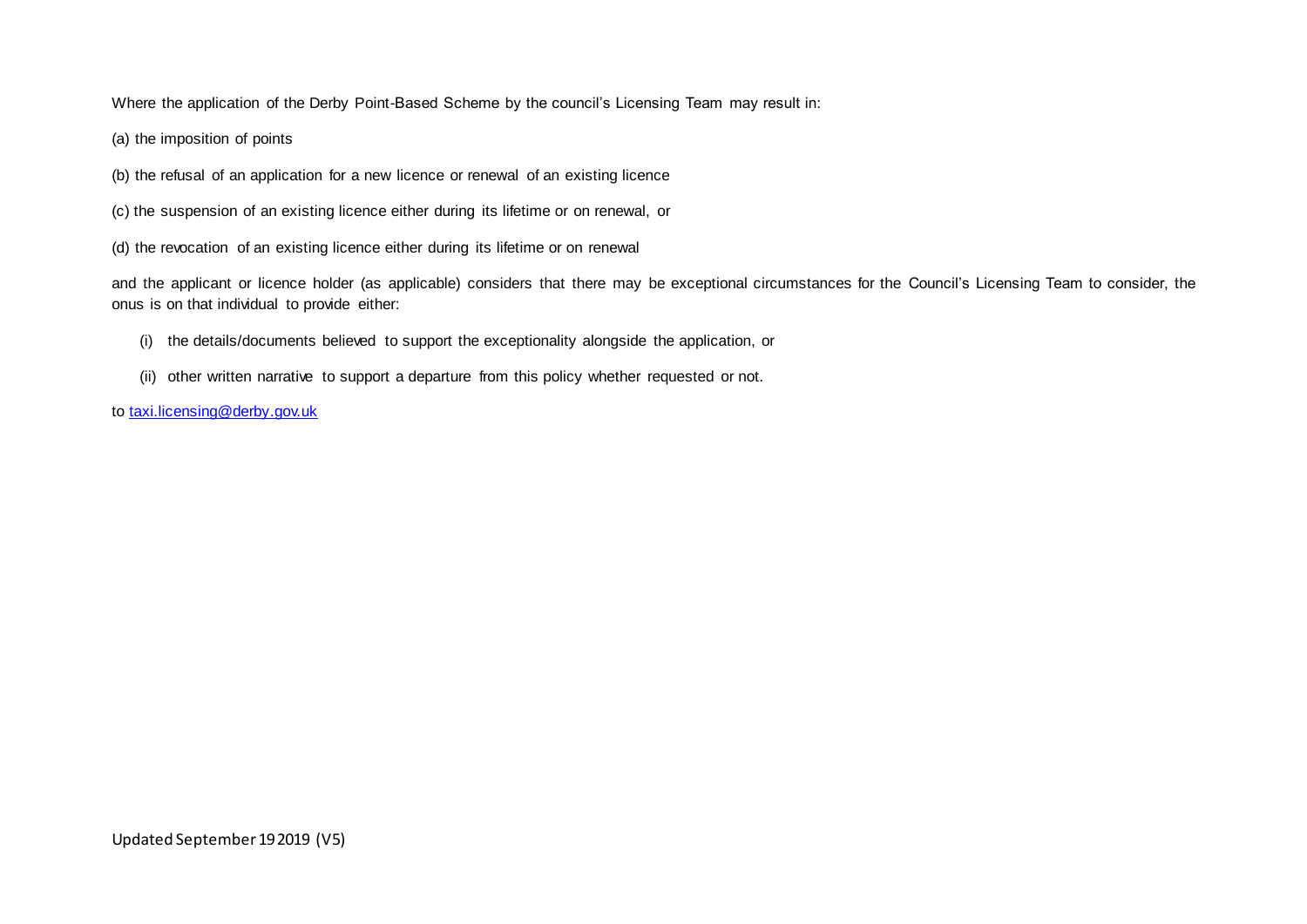Where the application of the Derby Point-Based Scheme by the council's Licensing Team may result in:

- (a) the imposition of points
- (b) the refusal of an application for a new licence or renewal of an existing licence
- (c) the suspension of an existing licence either during its lifetime or on renewal, or
- (d) the revocation of an existing licence either during its lifetime or on renewal

and the applicant or licence holder (as applicable) considers that there may be exceptional circumstances for the Council's Licensing Team to consider, the onus is on that individual to provide either:

- (i) the details/documents believed to support the exceptionality alongside the application, or
- (ii) other written narrative to support a departure from this policy whether requested or not.
- to [taxi.licensing@derby.gov.uk](http://www.taxi.licensing@derby.gov.uk/)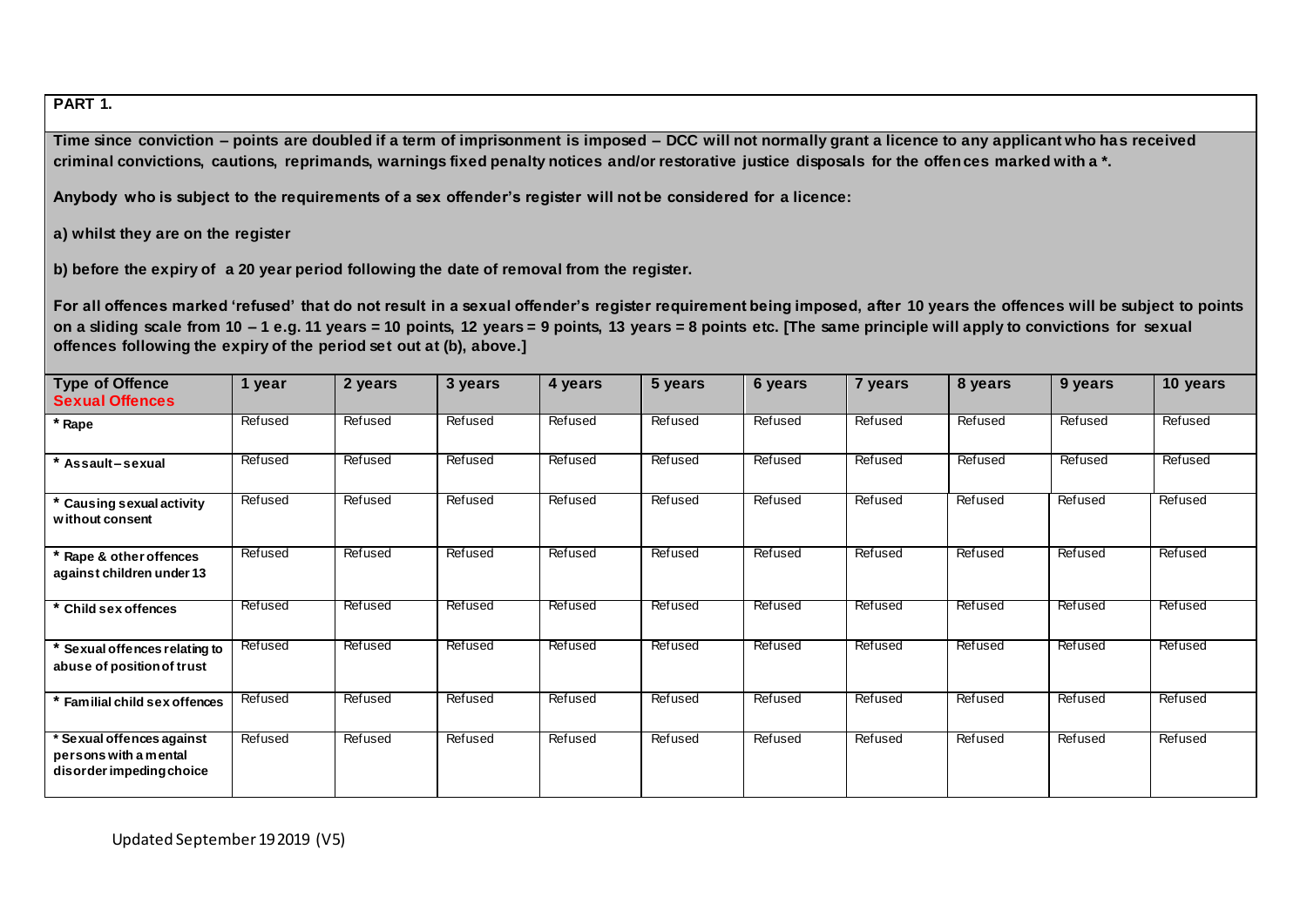# **PART 1.**

**Time since conviction – points are doubled if a term of imprisonment is imposed – DCC will not normally grant a licence to any applicant who has received criminal convictions, cautions, reprimands, warnings fixed penalty notices and/or restorative justice disposals for the offences marked with a \*.**

**Anybody who is subject to the requirements of a sex offender's register will not be considered for a licence:**

**a) whilst they are on the register**

**b) before the expiry of a 20 year period following the date of removal from the register.** 

**For all offences marked 'refused' that do not result in a sexual offender's register requirement being imposed, after 10 years the offences will be subject to points on a sliding scale from 10 – 1 e.g. 11 years = 10 points, 12 years = 9 points, 13 years = 8 points etc. [The same principle will apply to convictions for sexual offences following the expiry of the period set out at (b), above.]**

| <b>Type of Offence</b><br><b>Sexual Offences</b>                             | 1 year  | 2 years | 3 years | 4 years | 5 years | 6 years | 7 years | 8 years | 9 years | 10 years |
|------------------------------------------------------------------------------|---------|---------|---------|---------|---------|---------|---------|---------|---------|----------|
| * Rape                                                                       | Refused | Refused | Refused | Refused | Refused | Refused | Refused | Refused | Refused | Refused  |
| Assault-sexual                                                               | Refused | Refused | Refused | Refused | Refused | Refused | Refused | Refused | Refused | Refused  |
| <b>Causing sexual activity</b><br>without consent                            | Refused | Refused | Refused | Refused | Refused | Refused | Refused | Refused | Refused | Refused  |
| * Rape & other offences<br>against children under 13                         | Refused | Refused | Refused | Refused | Refused | Refused | Refused | Refused | Refused | Refused  |
| Child sex offences                                                           | Refused | Refused | Refused | Refused | Refused | Refused | Refused | Refused | Refused | Refused  |
| Sexual offences relating to<br>abuse of position of trust                    | Refused | Refused | Refused | Refused | Refused | Refused | Refused | Refused | Refused | Refused  |
| Familial child sex offences                                                  | Refused | Refused | Refused | Refused | Refused | Refused | Refused | Refused | Refused | Refused  |
| Sexual offences against<br>persons with a mental<br>disorder impeding choice | Refused | Refused | Refused | Refused | Refused | Refused | Refused | Refused | Refused | Refused  |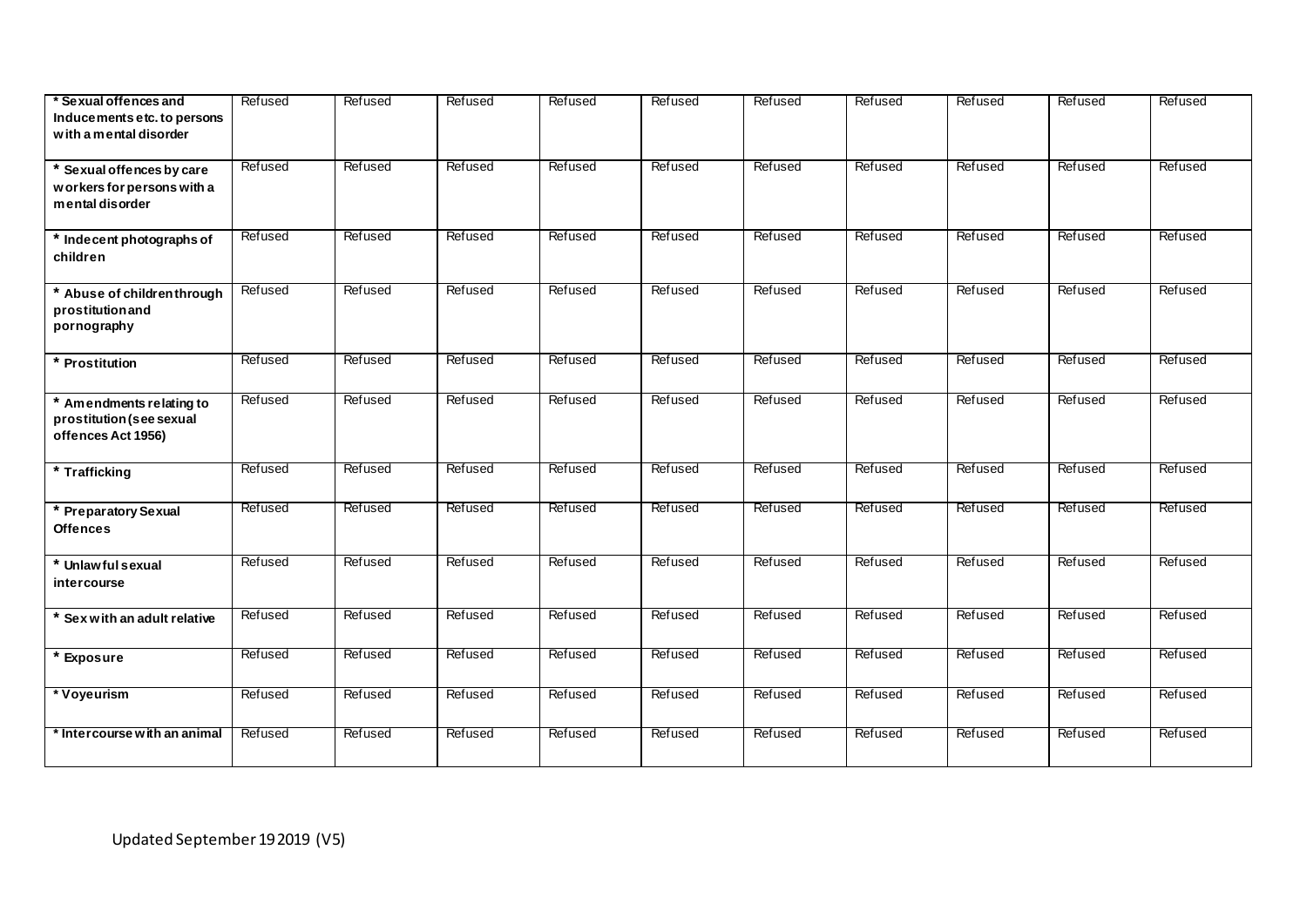| * Sexual offences and<br>Inducements etc. to persons<br>with a mental disorder | Refused | Refused | Refused | Refused | Refused | Refused | <b>Refused</b> | Refused | Refused | Refused |
|--------------------------------------------------------------------------------|---------|---------|---------|---------|---------|---------|----------------|---------|---------|---------|
| * Sexual offences by care<br>workers for persons with a<br>mental disorder     | Refused | Refused | Refused | Refused | Refused | Refused | Refused        | Refused | Refused | Refused |
| * Indecent photographs of<br>children                                          | Refused | Refused | Refused | Refused | Refused | Refused | Refused        | Refused | Refused | Refused |
| * Abuse of childrenthrough<br>prostitution and<br>pornography                  | Refused | Refused | Refused | Refused | Refused | Refused | Refused        | Refused | Refused | Refused |
| * Prostitution                                                                 | Refused | Refused | Refused | Refused | Refused | Refused | Refused        | Refused | Refused | Refused |
| * Amendments relating to<br>prostitution (see sexual<br>offences Act 1956)     | Refused | Refused | Refused | Refused | Refused | Refused | Refused        | Refused | Refused | Refused |
| * Trafficking                                                                  | Refused | Refused | Refused | Refused | Refused | Refused | Refused        | Refused | Refused | Refused |
| Preparatory Sexual<br>Offences                                                 | Refused | Refused | Refused | Refused | Refused | Refused | Refused        | Refused | Refused | Refused |
| * Unlawful sexual<br>intercourse                                               | Refused | Refused | Refused | Refused | Refused | Refused | Refused        | Refused | Refused | Refused |
| $*$ Sex with an adult relative                                                 | Refused | Refused | Refused | Refused | Refused | Refused | Refused        | Refused | Refused | Refused |
| <b>Exposure</b>                                                                | Refused | Refused | Refused | Refused | Refused | Refused | Refused        | Refused | Refused | Refused |
| * Voyeurism                                                                    | Refused | Refused | Refused | Refused | Refused | Refused | Refused        | Refused | Refused | Refused |
| * Intercourse with an animal                                                   | Refused | Refused | Refused | Refused | Refused | Refused | Refused        | Refused | Refused | Refused |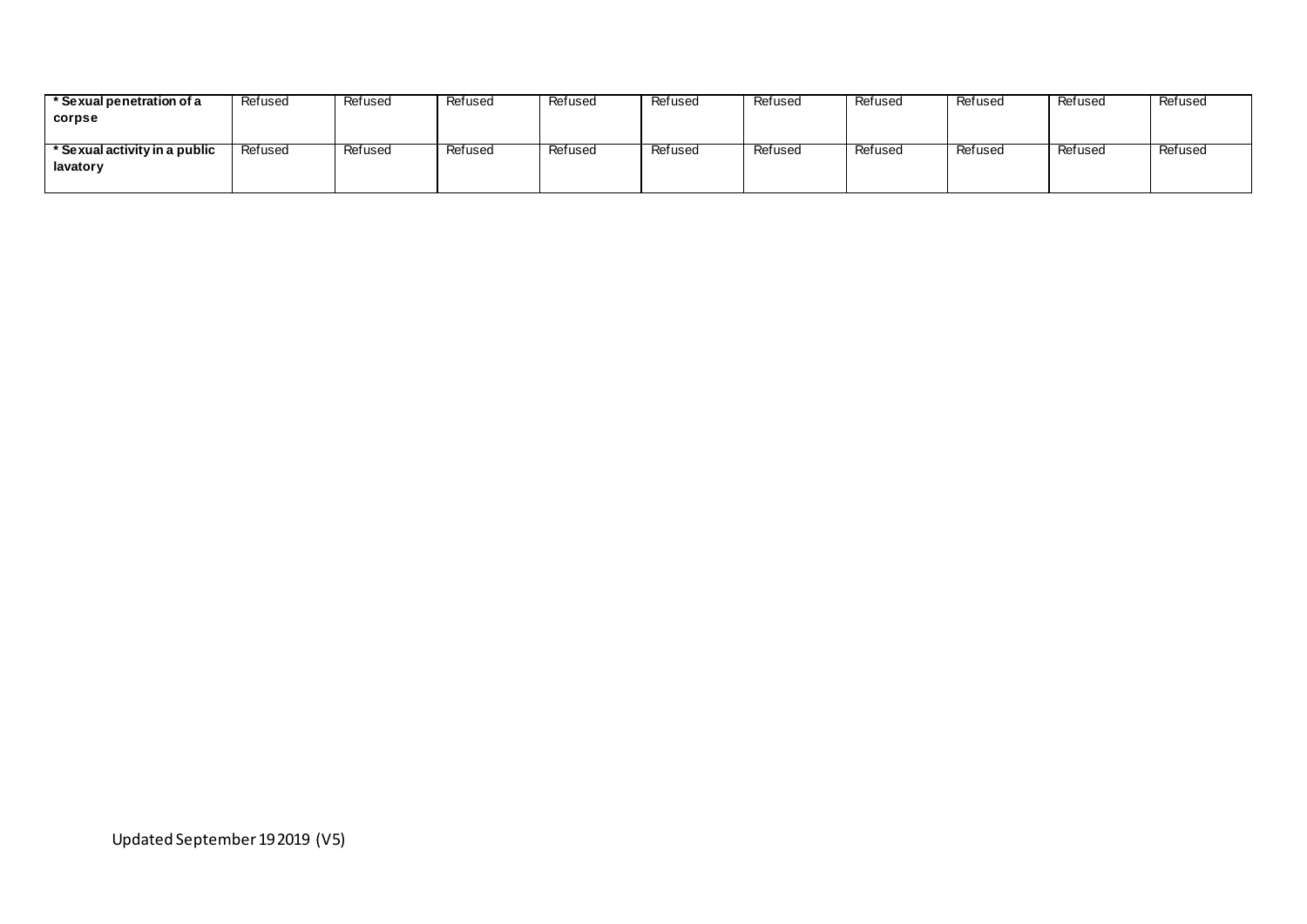| * Sexual penetration of a     | Refused | Refused | Refused | Refused | Refused | Refused | Refused | Refused | Refused | Refused |
|-------------------------------|---------|---------|---------|---------|---------|---------|---------|---------|---------|---------|
| corpse                        |         |         |         |         |         |         |         |         |         |         |
|                               |         |         |         |         |         |         |         |         |         |         |
| * Sexual activity in a public | Refused | Refused | Refused | Refused | Refused | Refused | Refused | Refused | Refused | Refused |
| lavatory                      |         |         |         |         |         |         |         |         |         |         |
|                               |         |         |         |         |         |         |         |         |         |         |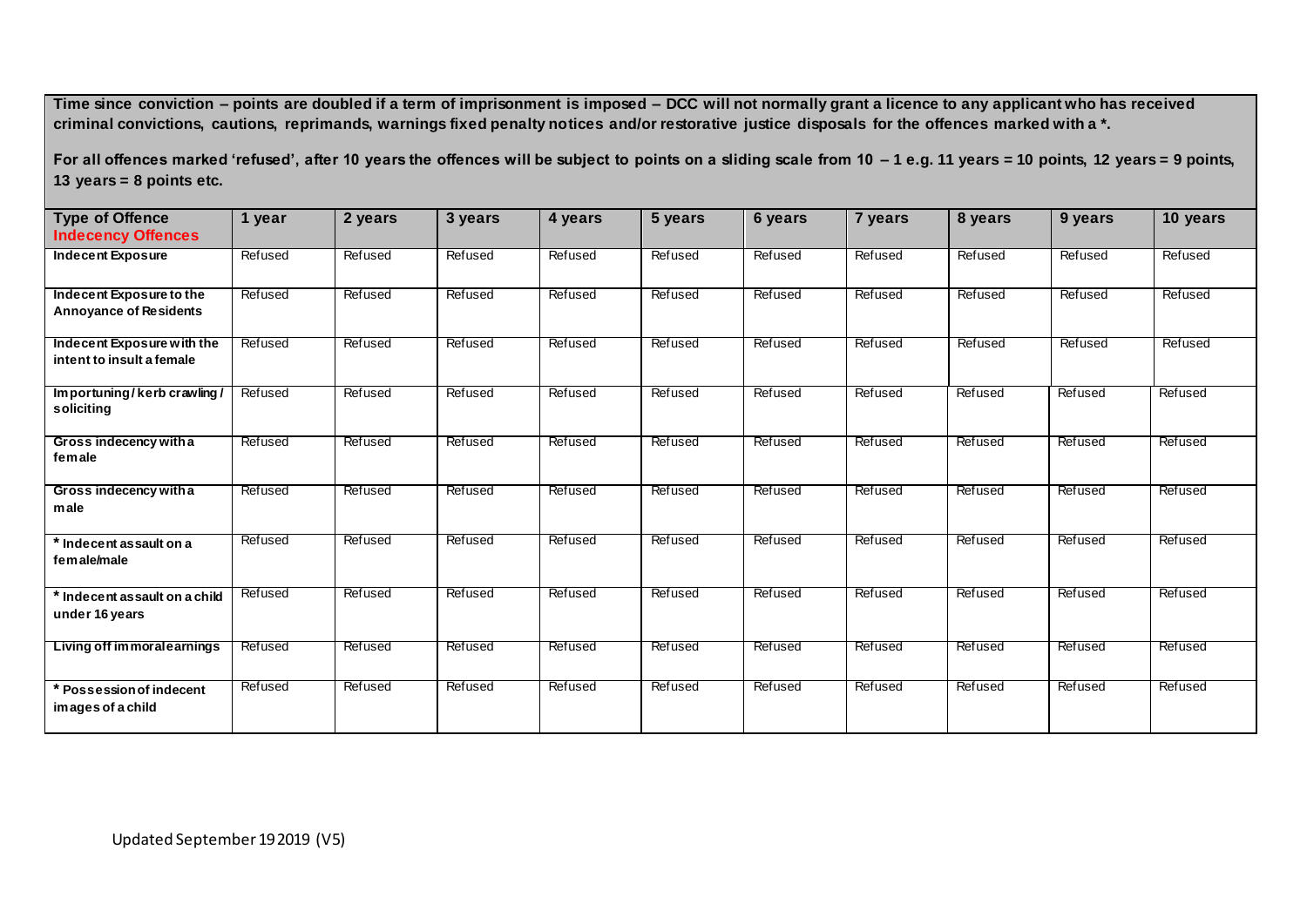For all offences marked 'refused', after 10 years the offences will be subject to points on a sliding scale from 10 - 1 e.g. 11 years = 10 points, 12 years = 9 points, **13 years = 8 points etc.**

| <b>Type of Offence</b><br><b>Indecency Offences</b>       | 1 year  | 2 years | 3 years | 4 years | 5 years | 6 years | 7 years | 8 years | 9 years | 10 years |
|-----------------------------------------------------------|---------|---------|---------|---------|---------|---------|---------|---------|---------|----------|
| <b>Indecent Exposure</b>                                  | Refused | Refused | Refused | Refused | Refused | Refused | Refused | Refused | Refused | Refused  |
| Indecent Exposure to the<br><b>Annoyance of Residents</b> | Refused | Refused | Refused | Refused | Refused | Refused | Refused | Refused | Refused | Refused  |
| Indecent Exposure with the<br>intent to insult a female   | Refused | Refused | Refused | Refused | Refused | Refused | Refused | Refused | Refused | Refused  |
| Importuning/kerb crawling/<br>soliciting                  | Refused | Refused | Refused | Refused | Refused | Refused | Refused | Refused | Refused | Refused  |
| Gross indecency with a<br>female                          | Refused | Refused | Refused | Refused | Refused | Refused | Refused | Refused | Refused | Refused  |
| Gross indecency with a<br>male                            | Refused | Refused | Refused | Refused | Refused | Refused | Refused | Refused | Refused | Refused  |
| * Indecent as sault on a<br>female/male                   | Refused | Refused | Refused | Refused | Refused | Refused | Refused | Refused | Refused | Refused  |
| * Indecent assault on a child<br>under 16 years           | Refused | Refused | Refused | Refused | Refused | Refused | Refused | Refused | Refused | Refused  |
| Living off immoralearnings                                | Refused | Refused | Refused | Refused | Refused | Refused | Refused | Refused | Refused | Refused  |
| <b>Possession of indecent</b><br>images of a child        | Refused | Refused | Refused | Refused | Refused | Refused | Refused | Refused | Refused | Refused  |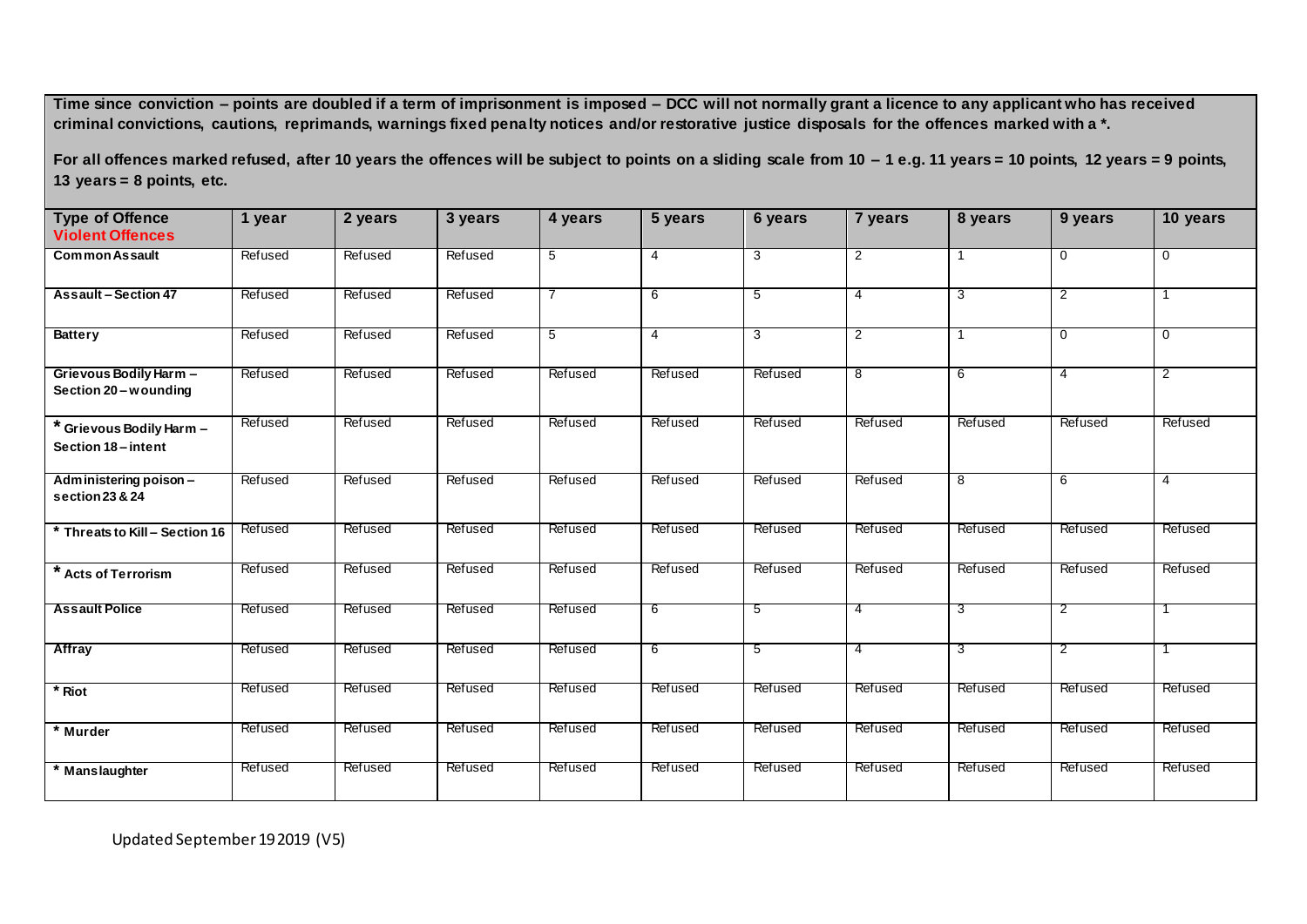**For all offences marked refused, after 10 years the offences will be subject to points on a sliding scale from 10 – 1 e.g. 11 years = 10 points, 12 years = 9 points, 13 years = 8 points, etc.**

| <b>Type of Offence</b><br><b>Violent Offences</b> | 1 year         | 2 years        | 3 years | 4 years        | 5 years        | 6 years | 7 years        | 8 years        | 9 years        | 10 years       |
|---------------------------------------------------|----------------|----------------|---------|----------------|----------------|---------|----------------|----------------|----------------|----------------|
|                                                   |                |                |         |                |                |         |                |                |                |                |
| <b>Common Assault</b>                             | Refused        | Refused        | Refused | 5              | $\overline{4}$ | 3       | $\overline{2}$ |                | 0              | 0              |
| <b>Assault-Section 47</b>                         | Refused        | Refused        | Refused | $\overline{7}$ | 6              | 5       | $\overline{4}$ | 3              | $\overline{2}$ | 1              |
| <b>Battery</b>                                    | Refused        | Refused        | Refused | 5              | 4              | 3       | $\overline{2}$ | $\overline{1}$ | $\mathbf 0$    | $\mathbf 0$    |
| Grievous Bodily Harm -<br>Section 20 - wounding   | Refused        | Refused        | Refused | Refused        | Refused        | Refused | $\overline{8}$ | 6              | 4              | $\overline{2}$ |
| * Grievous Bodily Harm -<br>Section 18-intent     | Refused        | Refused        | Refused | Refused        | Refused        | Refused | Refused        | Refused        | Refused        | Refused        |
| Administering poison -<br>section 23 & 24         | Refused        | Refused        | Refused | Refused        | Refused        | Refused | Refused        | 8              | 6              | $\overline{4}$ |
| * Threats to Kill - Section 16                    | Refused        | Refused        | Refused | Refused        | Refused        | Refused | Refused        | Refused        | Refused        | Refused        |
| * Acts of Terrorism                               | Refused        | Refused        | Refused | Refused        | Refused        | Refused | Refused        | Refused        | Refused        | Refused        |
| <b>Assault Police</b>                             | Refused        | Refused        | Refused | Refused        | 6              | 5       | $\overline{4}$ | 3              | $\overline{2}$ |                |
| Affray                                            | Refused        | Refused        | Refused | Refused        | 6              | 5       | $\overline{4}$ | 3              | $\overline{2}$ | -1             |
| * Riot                                            | Refused        | Refused        | Refused | Refused        | Refused        | Refused | Refused        | Refused        | Refused        | Refused        |
| * Murder                                          | <b>Refused</b> | Refused        | Refused | Refused        | Refused        | Refused | Refused        | Refused        | Refused        | Refused        |
| * Manslaughter                                    | <b>Refused</b> | <b>Refused</b> | Refused | Refused        | Refused        | Refused | Refused        | Refused        | <b>Refused</b> | Refused        |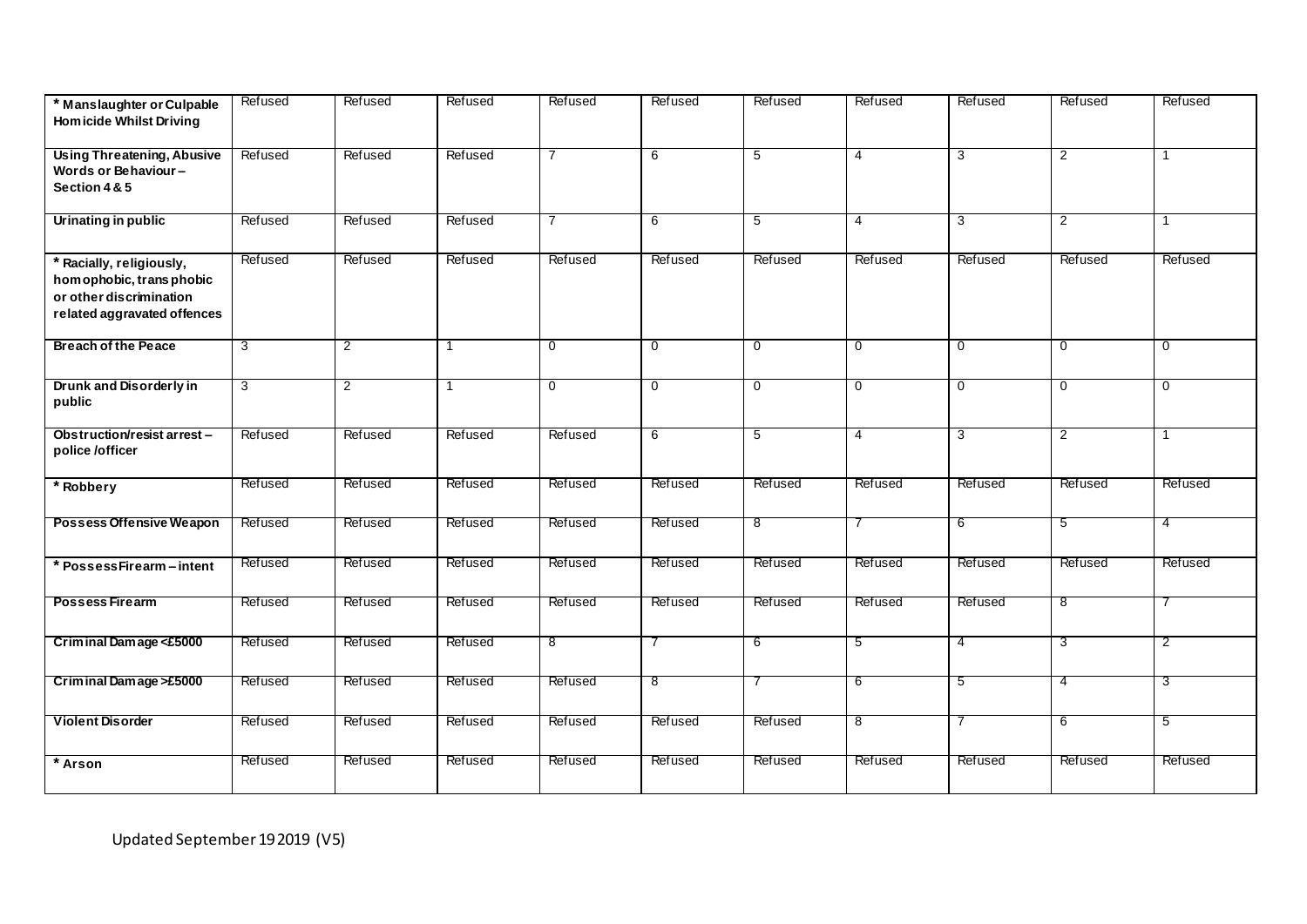| * Manslaughter or Culpable<br><b>Homicide Whilst Driving</b>                                                   | Refused | Refused        | Refused      | Refused        | Refused        | Refused        | Refused         | Refused        | Refused        | Refused        |
|----------------------------------------------------------------------------------------------------------------|---------|----------------|--------------|----------------|----------------|----------------|-----------------|----------------|----------------|----------------|
| <b>Using Threatening, Abusive</b><br>Words or Behaviour-<br>Section 4 & 5                                      | Refused | Refused        | Refused      | $\overline{7}$ | 6              | $\overline{5}$ | $\overline{4}$  | 3              | $\overline{2}$ | 1              |
| Urinating in public                                                                                            | Refused | Refused        | Refused      |                | 6              | $\overline{5}$ | $\overline{4}$  | 3              | $\overline{2}$ | 1              |
| * Racially, religiously,<br>homophobic, trans phobic<br>or other discrimination<br>related aggravated offences | Refused | Refused        | Refused      | Refused        | Refused        | Refused        | Refused         | Refused        | Refused        | Refused        |
| <b>Breach of the Peace</b>                                                                                     | 3       | $\overline{2}$ | 1            | $\mathbf{0}$   | $\mathbf 0$    | $\overline{0}$ | $\overline{0}$  | $\overline{0}$ | $\mathbf 0$    | $\overline{0}$ |
| Drunk and Disorderly in<br>public                                                                              | 3       | $\overline{2}$ | $\mathbf{1}$ | 0              | $\mathbf 0$    | 0              | $\overline{0}$  | $\mathbf 0$    | $\mathbf{0}$   | $\mathbf 0$    |
| Obstruction/resist arrest-<br>police /officer                                                                  | Refused | Refused        | Refused      | Refused        | 6              | $\overline{5}$ | $\overline{4}$  | $\overline{3}$ | $\overline{2}$ | $\mathbf{1}$   |
| * Robbery                                                                                                      | Refused | Refused        | Refused      | Refused        | Refused        | Refused        | Refused         | Refused        | Refused        | Refused        |
| <b>Possess Offensive Weapon</b>                                                                                | Refused | Refused        | Refused      | Refused        | Refused        | $^8$           | 7               | -6             | 5              | $\overline{4}$ |
| * Possess Firearm - intent                                                                                     | Refused | Refused        | Refused      | Refused        | <b>Refused</b> | Refused        | Refused         | Refused        | Refused        | <b>Refused</b> |
| <b>Possess Firearm</b>                                                                                         | Refused | Refused        | Refused      | Refused        | Refused        | Refused        | Refused         | Refused        | $^8$           |                |
| Criminal Damage <£5000                                                                                         | Refused | Refused        | Refused      | 8              | 7              | 6              | $5\overline{)}$ | $\overline{4}$ | 3              | $\overline{2}$ |
| Criminal Damage >£5000                                                                                         | Refused | Refused        | Refused      | Refused        | 8              | 7              | 6               | $\overline{5}$ | $\overline{4}$ | $\overline{3}$ |
| <b>Violent Disorder</b>                                                                                        | Refused | Refused        | Refused      | <b>Refused</b> | Refused        | Refused        | 8               | 7              | 6              | 5              |
| * Arson                                                                                                        | Refused | Refused        | Refused      | Refused        | <b>Refused</b> | Refused        | Refused         | Refused        | Refused        | Refused        |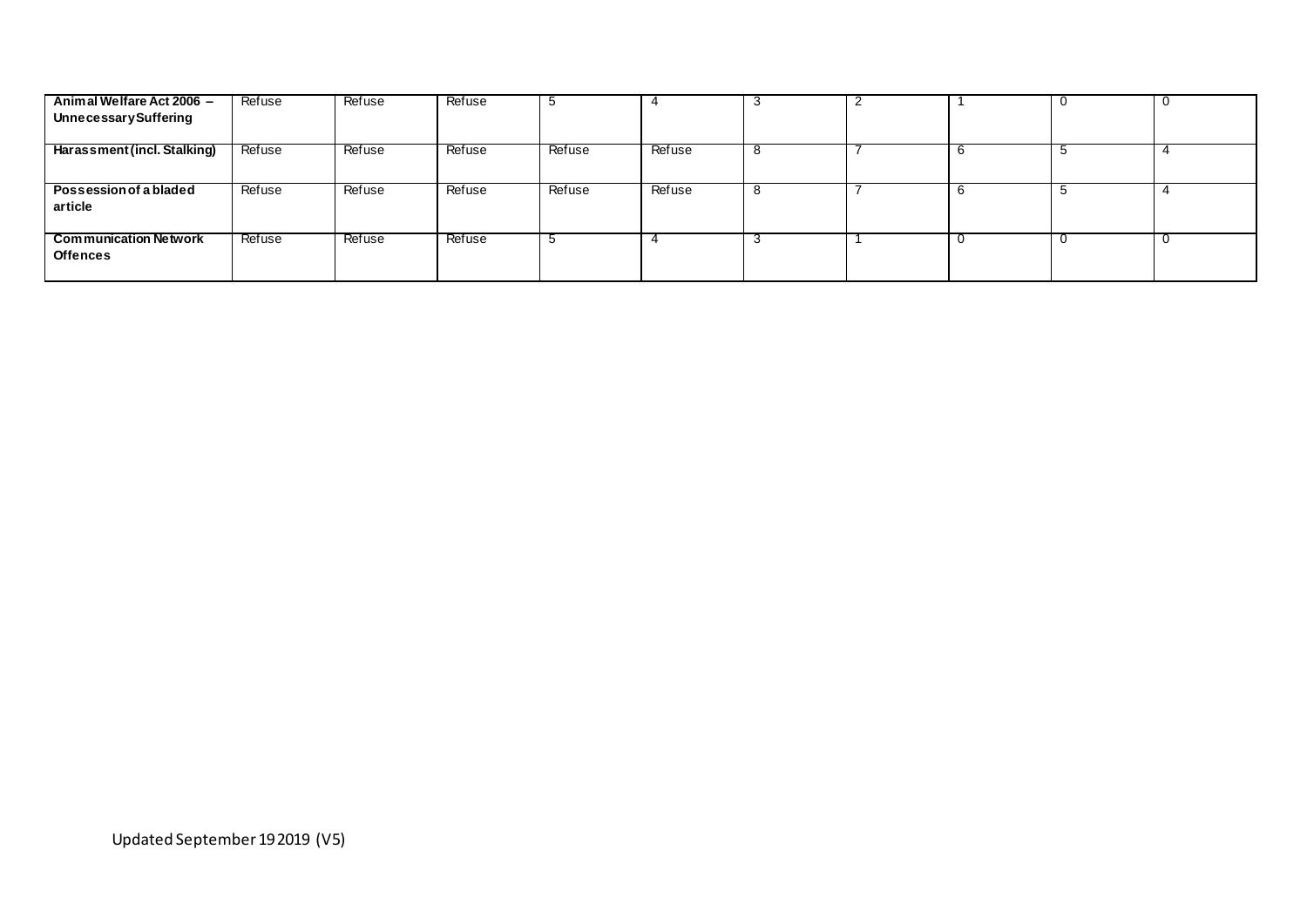| Animal Welfare Act 2006 -<br><b>Unnecessary Suffering</b> | Refuse | Refuse | Refuse | $\ddot{\phantom{a}}$ |        | - 3 |   |      |  |
|-----------------------------------------------------------|--------|--------|--------|----------------------|--------|-----|---|------|--|
| Harassment (incl. Stalking)                               | Refuse | Refuse | Refuse | Refuse               | Refuse | ŏ   | b | ာ    |  |
| Possession of a bladed<br>article                         | Refuse | Refuse | Refuse | Refuse               | Refuse | ്   | b | - 33 |  |
| <b>Communication Network</b><br><b>Offences</b>           | Refuse | Refuse | Refuse |                      |        | - 3 | u |      |  |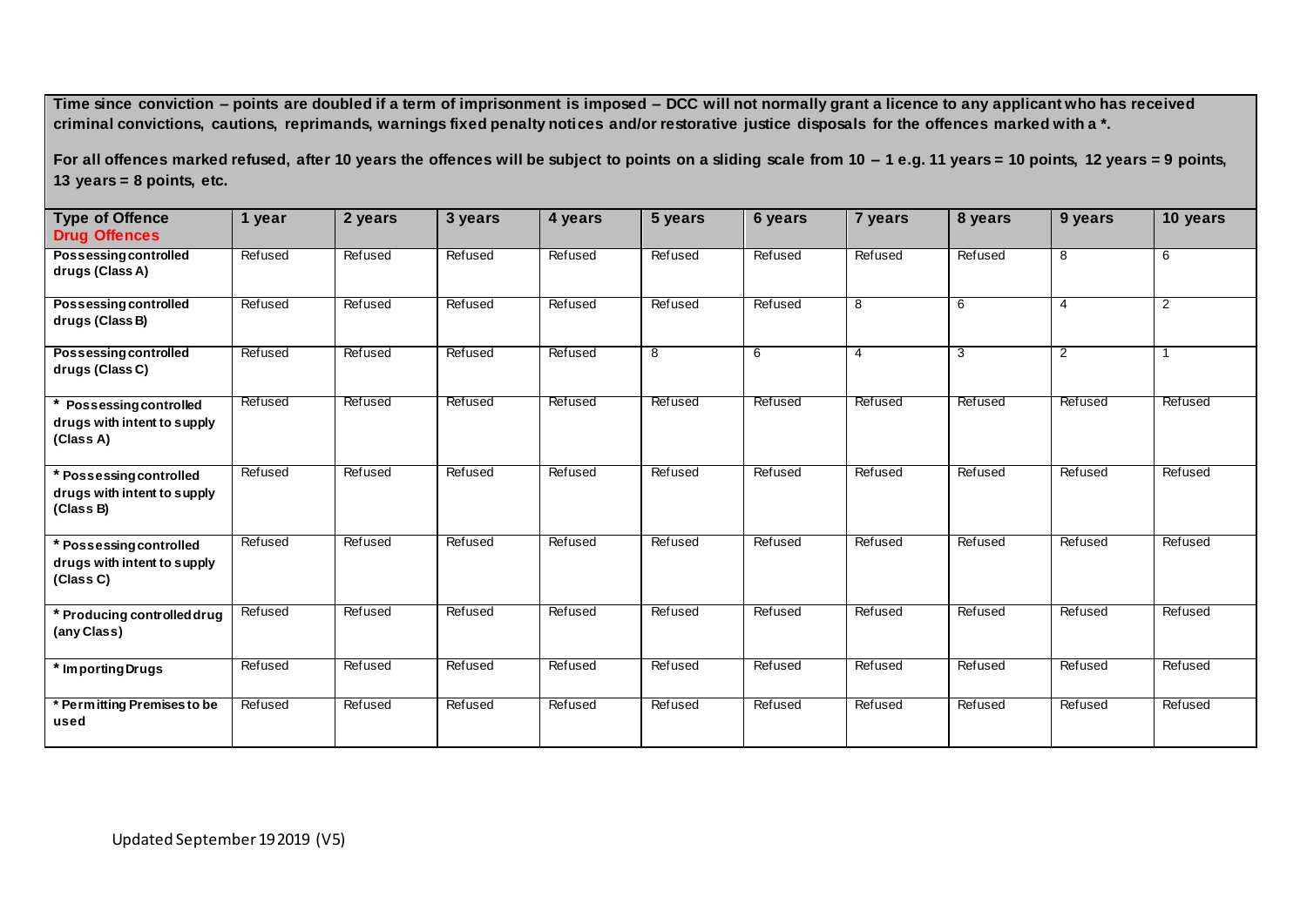**For all offences marked refused, after 10 years the offences will be subject to points on a sliding scale from 10 – 1 e.g. 11 years = 10 points, 12 years = 9 points, 13 years = 8 points, etc.**

| <b>Type of Offence</b>                                                   | 1 year  | 2 years | 3 years | 4 years | 5 years | 6 years | 7 years | 8 years | 9 years        | 10 years       |
|--------------------------------------------------------------------------|---------|---------|---------|---------|---------|---------|---------|---------|----------------|----------------|
| <b>Drug Offences</b>                                                     |         |         |         |         |         |         |         |         |                |                |
| <b>Possessing controlled</b><br>drugs (Class A)                          | Refused | Refused | Refused | Refused | Refused | Refused | Refused | Refused | 8              | 6              |
| <b>Possessing controlled</b><br>drugs (Class B)                          | Refused | Refused | Refused | Refused | Refused | Refused | 8       | 6       | 4              | $\overline{2}$ |
| <b>Possessing controlled</b><br>drugs (Class C)                          | Refused | Refused | Refused | Refused | 8       | 6       | 4       | 3       | $\overline{2}$ | -1             |
| <b>Possessing controlled</b><br>drugs with intent to supply<br>(Class A) | Refused | Refused | Refused | Refused | Refused | Refused | Refused | Refused | Refused        | Refused        |
| * Possessing controlled<br>drugs with intent to supply<br>(Class B)      | Refused | Refused | Refused | Refused | Refused | Refused | Refused | Refused | Refused        | Refused        |
| * Possessing controlled<br>drugs with intent to supply<br>(Class C)      | Refused | Refused | Refused | Refused | Refused | Refused | Refused | Refused | Refused        | Refused        |
| * Producing controlled drug<br>(any Class)                               | Refused | Refused | Refused | Refused | Refused | Refused | Refused | Refused | Refused        | Refused        |
| * Importing Drugs                                                        | Refused | Refused | Refused | Refused | Refused | Refused | Refused | Refused | Refused        | Refused        |
| * Permitting Premises to be<br>used                                      | Refused | Refused | Refused | Refused | Refused | Refused | Refused | Refused | Refused        | Refused        |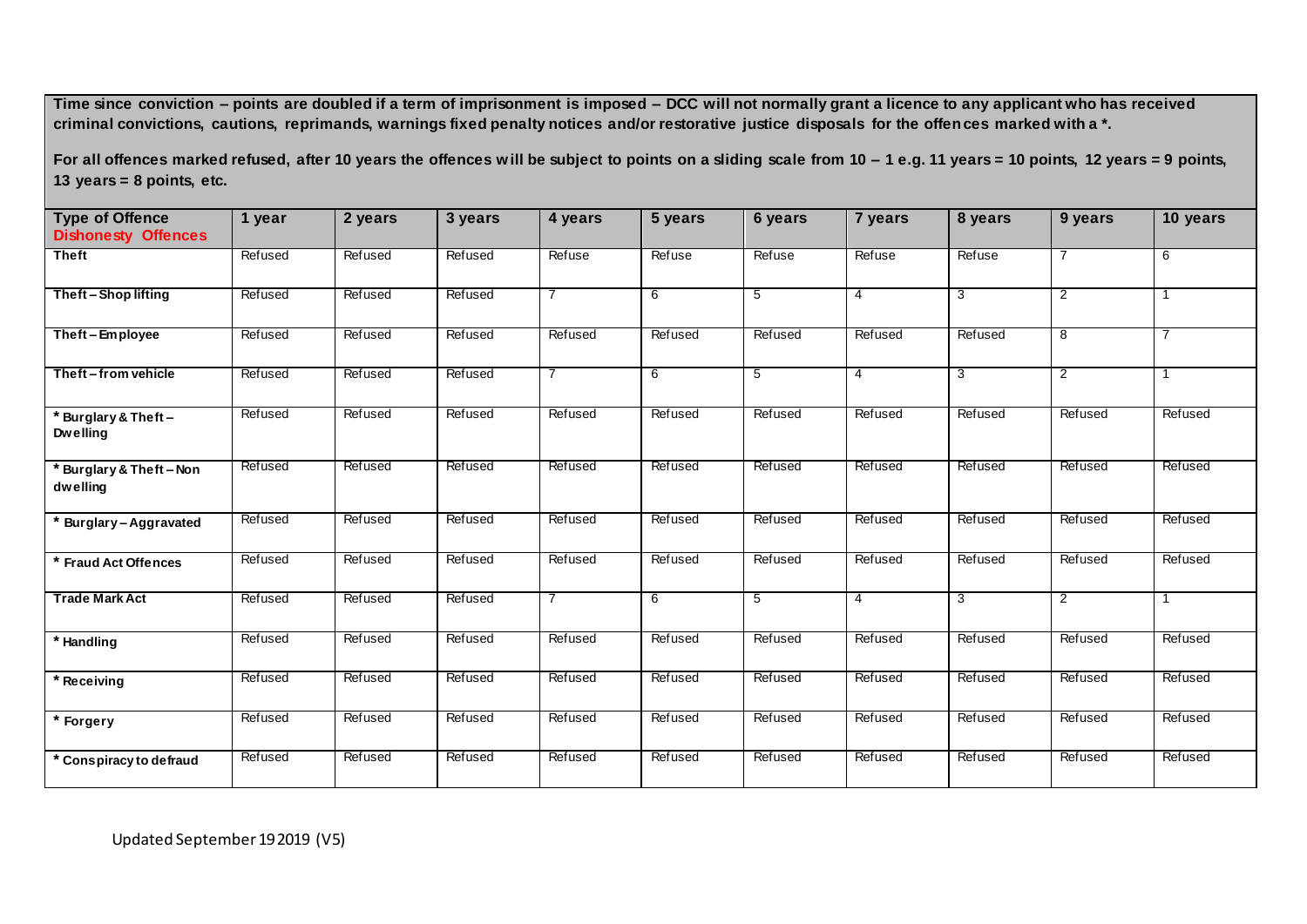**For all offences marked refused, after 10 years the offences will be subject to points on a sliding scale from 10 – 1 e.g. 11 years = 10 points, 12 years = 9 points, 13 years = 8 points, etc.**

| <b>Type of Offence</b><br><b>Dishonesty Offences</b> | 1 year  | 2 years | 3 years | 4 years        | 5 years | 6 years | 7 years        | 8 years | 9 years        | 10 years       |
|------------------------------------------------------|---------|---------|---------|----------------|---------|---------|----------------|---------|----------------|----------------|
| <b>Theft</b>                                         | Refused | Refused | Refused | Refuse         | Refuse  | Refuse  | Refuse         | Refuse  |                | 6              |
| Theft-Shop lifting                                   | Refused | Refused | Refused | 7              | 6       | 5       | 4              | 3       | $\overline{2}$ |                |
| Theft - Employee                                     | Refused | Refused | Refused | Refused        | Refused | Refused | Refused        | Refused | 8              | 7              |
| Theft-from vehicle                                   | Refused | Refused | Refused | $\overline{7}$ | 6       | 5       | $\overline{4}$ | 3       | $\overline{2}$ |                |
| * Burglary & Theft-<br><b>Dwelling</b>               | Refused | Refused | Refused | Refused        | Refused | Refused | Refused        | Refused | Refused        | Refused        |
| * Burglary & Theft - Non<br>dwelling                 | Refused | Refused | Refused | Refused        | Refused | Refused | Refused        | Refused | Refused        | <b>Refused</b> |
| * Burglary-Aggravated                                | Refused | Refused | Refused | Refused        | Refused | Refused | Refused        | Refused | Refused        | Refused        |
| * Fraud Act Offences                                 | Refused | Refused | Refused | Refused        | Refused | Refused | Refused        | Refused | Refused        | Refused        |
| <b>Trade Mark Act</b>                                | Refused | Refused | Refused | $\overline{7}$ | 6       | 5       | 4              | 3       | 2              |                |
| * Handling                                           | Refused | Refused | Refused | Refused        | Refused | Refused | Refused        | Refused | Refused        | Refused        |
| * Receiving                                          | Refused | Refused | Refused | Refused        | Refused | Refused | Refused        | Refused | Refused        | Refused        |
| * Forgery                                            | Refused | Refused | Refused | Refused        | Refused | Refused | Refused        | Refused | Refused        | Refused        |
| * Conspiracy to defraud                              | Refused | Refused | Refused | Refused        | Refused | Refused | Refused        | Refused | Refused        | Refused        |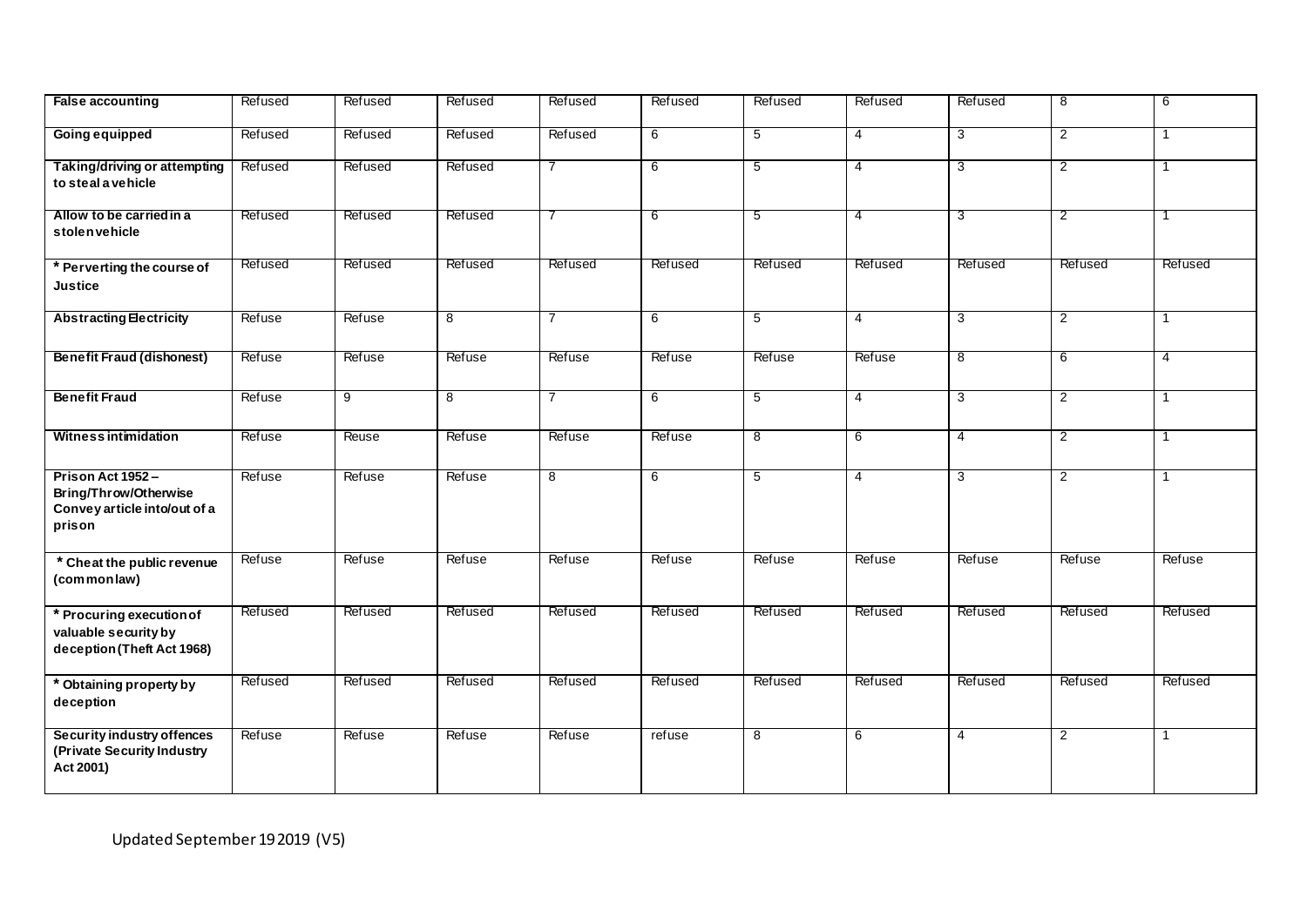| <b>False accounting</b>                                                             | Refused | Refused        | Refused        | Refused        | Refused | Refused        | Refused        | Refused        | 8              | 6            |
|-------------------------------------------------------------------------------------|---------|----------------|----------------|----------------|---------|----------------|----------------|----------------|----------------|--------------|
| <b>Going equipped</b>                                                               | Refused | Refused        | Refused        | Refused        | 6       | 5              | 4              | 3              | $\overline{2}$ | $\mathbf{1}$ |
| Taking/driving or attempting<br>to steal a vehicle                                  | Refused | Refused        | Refused        | $\overline{7}$ | 6       | 5              | 4              | 3              | $\overline{2}$ | 1            |
| Allow to be carried in a<br>stolenvehicle                                           | Refused | Refused        | Refused        | 7              | 6       | 5              | 4              | 3              | $\overline{2}$ | 1            |
| * Perverting the course of<br><b>Justice</b>                                        | Refused | Refused        | Refused        | Refused        | Refused | Refused        | Refused        | Refused        | Refused        | Refused      |
| <b>Abstracting Electricity</b>                                                      | Refuse  | Refuse         | 8              | 7              | 6       | 5              | 4              | 3              | $\overline{2}$ | 1            |
| <b>Benefit Fraud (dishonest)</b>                                                    | Refuse  | Refuse         | Refuse         | Refuse         | Refuse  | Refuse         | Refuse         | 8              | 6              | 4            |
| <b>Benefit Fraud</b>                                                                | Refuse  | $\overline{9}$ | $\overline{8}$ | $\overline{7}$ | 6       | $\overline{5}$ | $\overline{4}$ | 3              | $\overline{2}$ | 1            |
| <b>Witness intimidation</b>                                                         | Refuse  | Reuse          | Refuse         | Refuse         | Refuse  | $\overline{8}$ | 6              | $\overline{4}$ | $\overline{2}$ | 1            |
| Prison Act 1952-<br>Bring/Throw/Otherwise<br>Convey article into/out of a<br>prison | Refuse  | Refuse         | Refuse         | 8              | 6       | $\overline{5}$ | $\overline{4}$ | 3              | $\overline{2}$ | 1            |
| * Cheat the public revenue<br>(commonlaw)                                           | Refuse  | Refuse         | Refuse         | Refuse         | Refuse  | Refuse         | Refuse         | Refuse         | Refuse         | Refuse       |
| * Procuring execution of<br>valuable security by<br>deception (Theft Act 1968)      | Refused | Refused        | Refused        | Refused        | Refused | Refused        | Refused        | Refused        | Refused        | Refused      |
| * Obtaining property by<br>deception                                                | Refused | Refused        | Refused        | Refused        | Refused | Refused        | Refused        | Refused        | Refused        | Refused      |
| Security industry offences<br>(Private Security Industry<br>Act 2001)               | Refuse  | Refuse         | Refuse         | Refuse         | refuse  | 8              | 6              | $\overline{4}$ | 2              | $\mathbf{1}$ |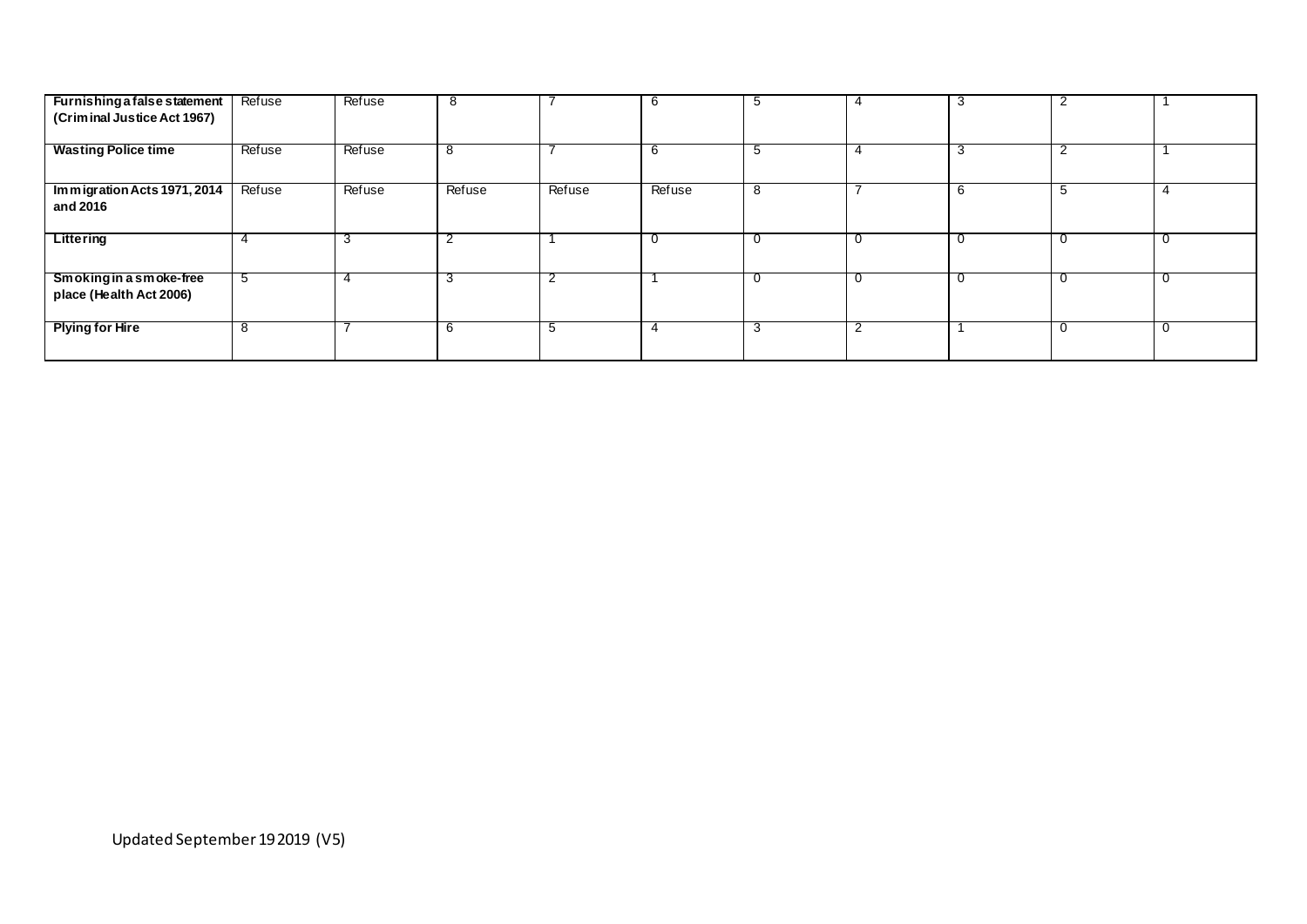| Furnishing a false statement                       | Refuse | Refuse | 8      |        | 6      | ີ |   | 3 | $\overline{2}$ |              |
|----------------------------------------------------|--------|--------|--------|--------|--------|---|---|---|----------------|--------------|
| (Criminal Justice Act 1967)                        |        |        |        |        |        |   |   |   |                |              |
| <b>Wasting Police time</b>                         | Refuse | Refuse | ŏ      |        | 6      |   |   | 3 | $\overline{2}$ |              |
| Immigration Acts 1971, 2014<br>and 2016            | Refuse | Refuse | Refuse | Refuse | Refuse | 8 |   | 6 | -5             |              |
| Littering                                          |        | 3      |        |        |        |   | u | 0 | - U            | $\mathbf{U}$ |
| Smoking in a smoke-free<br>place (Health Act 2006) | ່ວ     | 4      |        |        |        |   | u | 0 | $\mathbf{I}$   |              |
| <b>Plying for Hire</b>                             |        |        | n      |        |        |   |   |   |                |              |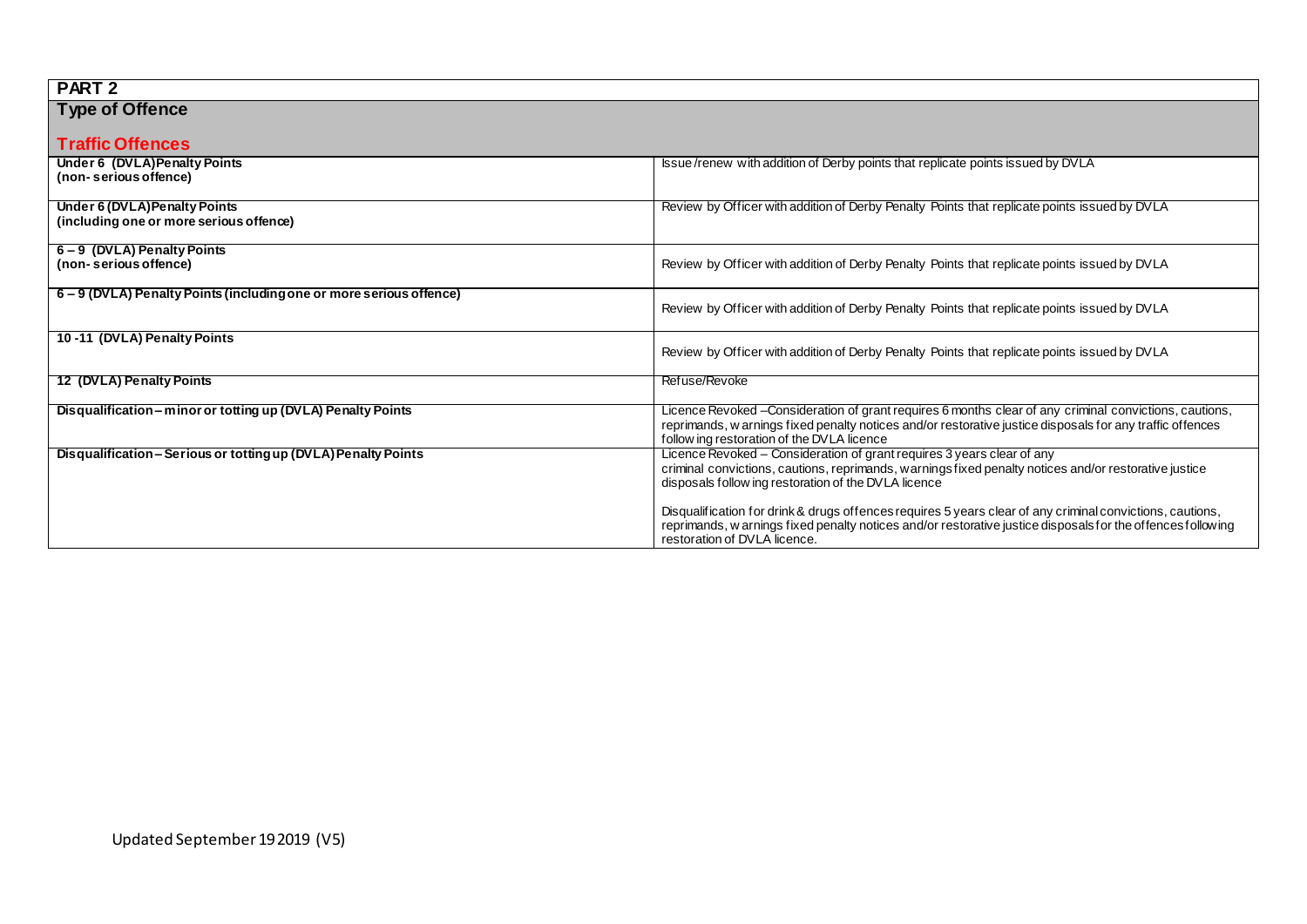| PART <sub>2</sub>                                                 |                                                                                                                                                                                                                          |
|-------------------------------------------------------------------|--------------------------------------------------------------------------------------------------------------------------------------------------------------------------------------------------------------------------|
| <b>Type of Offence</b>                                            |                                                                                                                                                                                                                          |
|                                                                   |                                                                                                                                                                                                                          |
| <b>Traffic Offences</b>                                           |                                                                                                                                                                                                                          |
| Under 6 (DVLA) Penalty Points                                     | Issue/renew with addition of Derby points that replicate points issued by DVLA                                                                                                                                           |
| (non- serious offence)                                            |                                                                                                                                                                                                                          |
| Under 6 (DVLA) Penalty Points                                     | Review by Officer with addition of Derby Penalty Points that replicate points issued by DVLA                                                                                                                             |
| (including one or more serious offence)                           |                                                                                                                                                                                                                          |
|                                                                   |                                                                                                                                                                                                                          |
| 6-9 (DVLA) Penalty Points<br>(non- serious offence)               | Review by Officer with addition of Derby Penalty Points that replicate points issued by DVLA                                                                                                                             |
|                                                                   |                                                                                                                                                                                                                          |
| 6-9 (DVLA) Penalty Points (including one or more serious offence) |                                                                                                                                                                                                                          |
|                                                                   | Review by Officer with addition of Derby Penalty Points that replicate points issued by DVLA                                                                                                                             |
|                                                                   |                                                                                                                                                                                                                          |
| 10-11 (DVLA) Penalty Points                                       | Review by Officer with addition of Derby Penalty Points that replicate points issued by DVLA                                                                                                                             |
|                                                                   |                                                                                                                                                                                                                          |
| 12 (DVLA) Penalty Points                                          | Refuse/Revoke                                                                                                                                                                                                            |
|                                                                   |                                                                                                                                                                                                                          |
| Disqualification – minor or totting up (DVLA) Penalty Points      | Licence Revoked - Consideration of grant requires 6 months clear of any criminal convictions, cautions,                                                                                                                  |
|                                                                   | reprimands, w arnings fixed penalty notices and/or restorative justice disposals for any traffic offences<br>follow ing restoration of the DVLA licence                                                                  |
| Disqualification - Serious or totting up (DVLA) Penalty Points    | Licence Revoked - Consideration of grant requires 3 years clear of any                                                                                                                                                   |
|                                                                   | criminal convictions, cautions, reprimands, warnings fixed penalty notices and/or restorative justice                                                                                                                    |
|                                                                   | disposals follow ing restoration of the DVLA licence                                                                                                                                                                     |
|                                                                   |                                                                                                                                                                                                                          |
|                                                                   | Disqualification for drink & drugs offences requires 5 years clear of any criminal convictions, cautions,<br>reprimands, w arnings fixed penalty notices and/or restorative justice disposals for the offences following |
|                                                                   | restoration of DVLA licence.                                                                                                                                                                                             |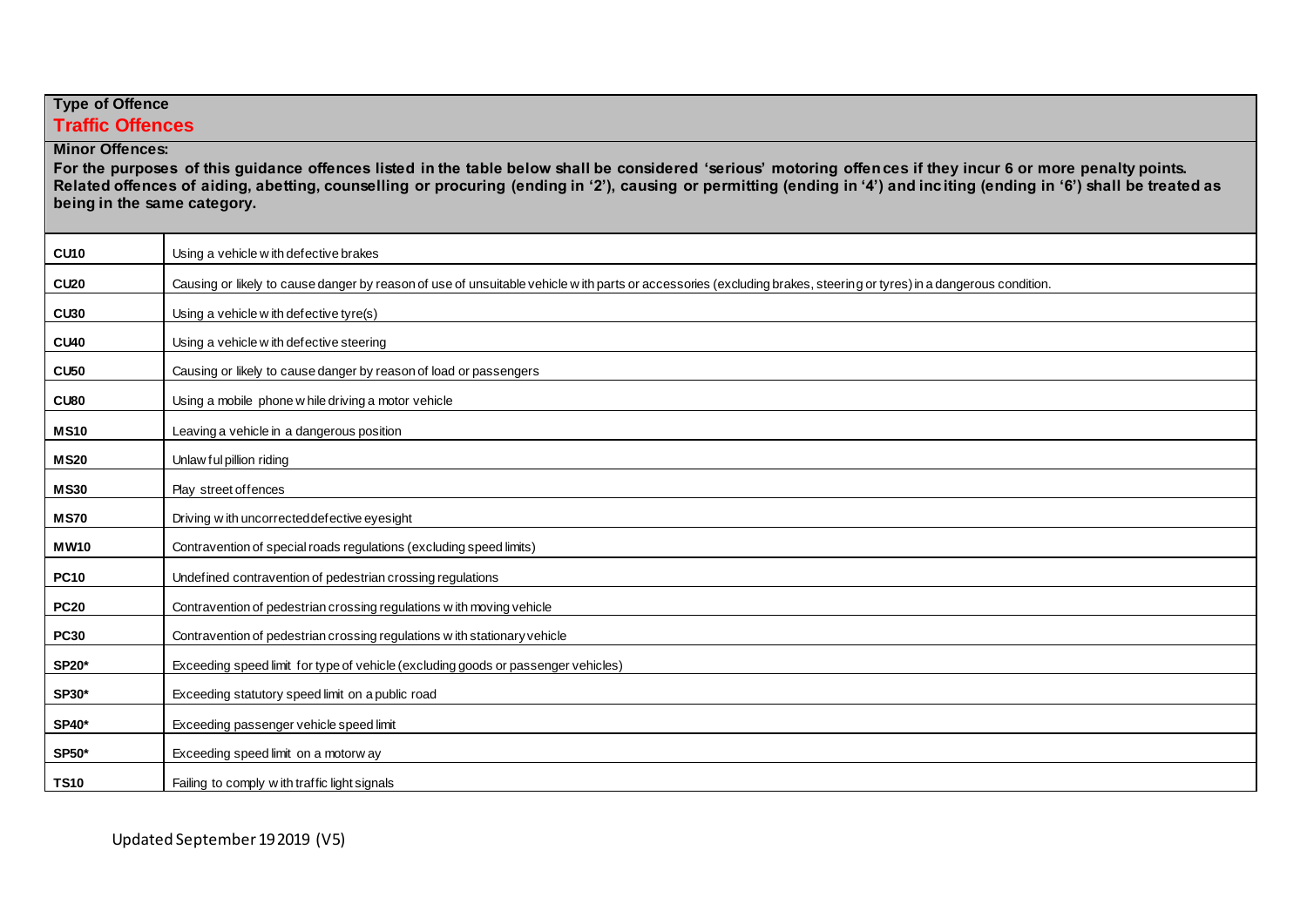## **Type of Offence Traffic Offences**

**Minor Offences:**

**For the purposes of this guidance offences listed in the table below shall be considered 'serious' motoring offences if they incur 6 or more penalty points. Related offences of aiding, abetting, counselling or procuring (ending in '2'), causing or permitting (ending in '4') and inciting (ending in '6') shall be treated as being in the same category.**

| <b>CU10</b>  | Using a vehicle with defective brakes                                                                                                                               |
|--------------|---------------------------------------------------------------------------------------------------------------------------------------------------------------------|
| <b>CU20</b>  | Causing or likely to cause danger by reason of use of unsuitable vehicle w ith parts or accessories (excluding brakes, steering or tyres) in a dangerous condition. |
| <b>CU30</b>  | Using a vehicle w ith defective tyre(s)                                                                                                                             |
| <b>CU40</b>  | Using a vehicle with defective steering                                                                                                                             |
| <b>CU50</b>  | Causing or likely to cause danger by reason of load or passengers                                                                                                   |
| CU80         | Using a mobile phone w hile driving a motor vehicle                                                                                                                 |
| <b>MS10</b>  | Leaving a vehicle in a dangerous position                                                                                                                           |
| <b>MS20</b>  | Unlaw ful pillion riding                                                                                                                                            |
| <b>MS30</b>  | Play street of fences                                                                                                                                               |
| <b>MS70</b>  | Driving with uncorrected defective eyesight                                                                                                                         |
| <b>MW10</b>  | Contravention of special roads regulations (excluding speed limits)                                                                                                 |
| <b>PC10</b>  | Undefined contravention of pedestrian crossing regulations                                                                                                          |
| <b>PC20</b>  | Contravention of pedestrian crossing regulations with moving vehicle                                                                                                |
| <b>PC30</b>  | Contravention of pedestrian crossing regulations with stationary vehicle                                                                                            |
| <b>SP20*</b> | Exceeding speed limit for type of vehicle (excluding goods or passenger vehicles)                                                                                   |
| <b>SP30*</b> | Exceeding statutory speed limit on a public road                                                                                                                    |
| <b>SP40*</b> | Exceeding passenger vehicle speed limit                                                                                                                             |
| <b>SP50*</b> | Exceeding speed limit on a motorw ay                                                                                                                                |
| <b>TS10</b>  | Failing to comply with traffic light signals                                                                                                                        |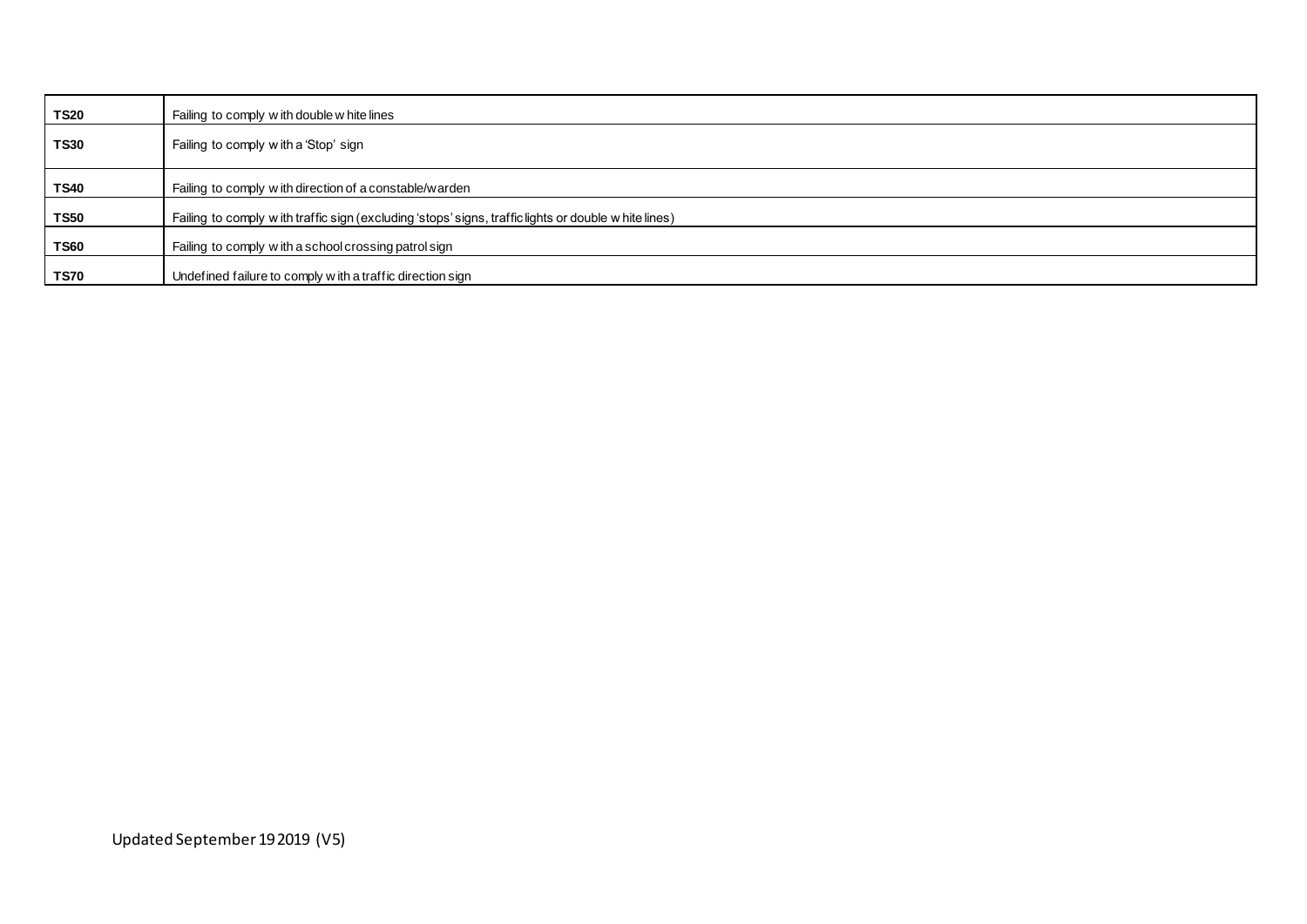| <b>TS20</b> | Failing to comply with double w hite lines                                                          |
|-------------|-----------------------------------------------------------------------------------------------------|
| <b>TS30</b> | Failing to comply with a 'Stop' sign                                                                |
| <b>TS40</b> | Failing to comply with direction of a constable/warden                                              |
| <b>TS50</b> | Failing to comply with traffic sign (excluding 'stops' signs, traffic lights or double white lines) |
| <b>TS60</b> | Failing to comply with a school crossing patrol sign                                                |
| <b>TS70</b> | Undefined failure to comply with a traffic direction sign                                           |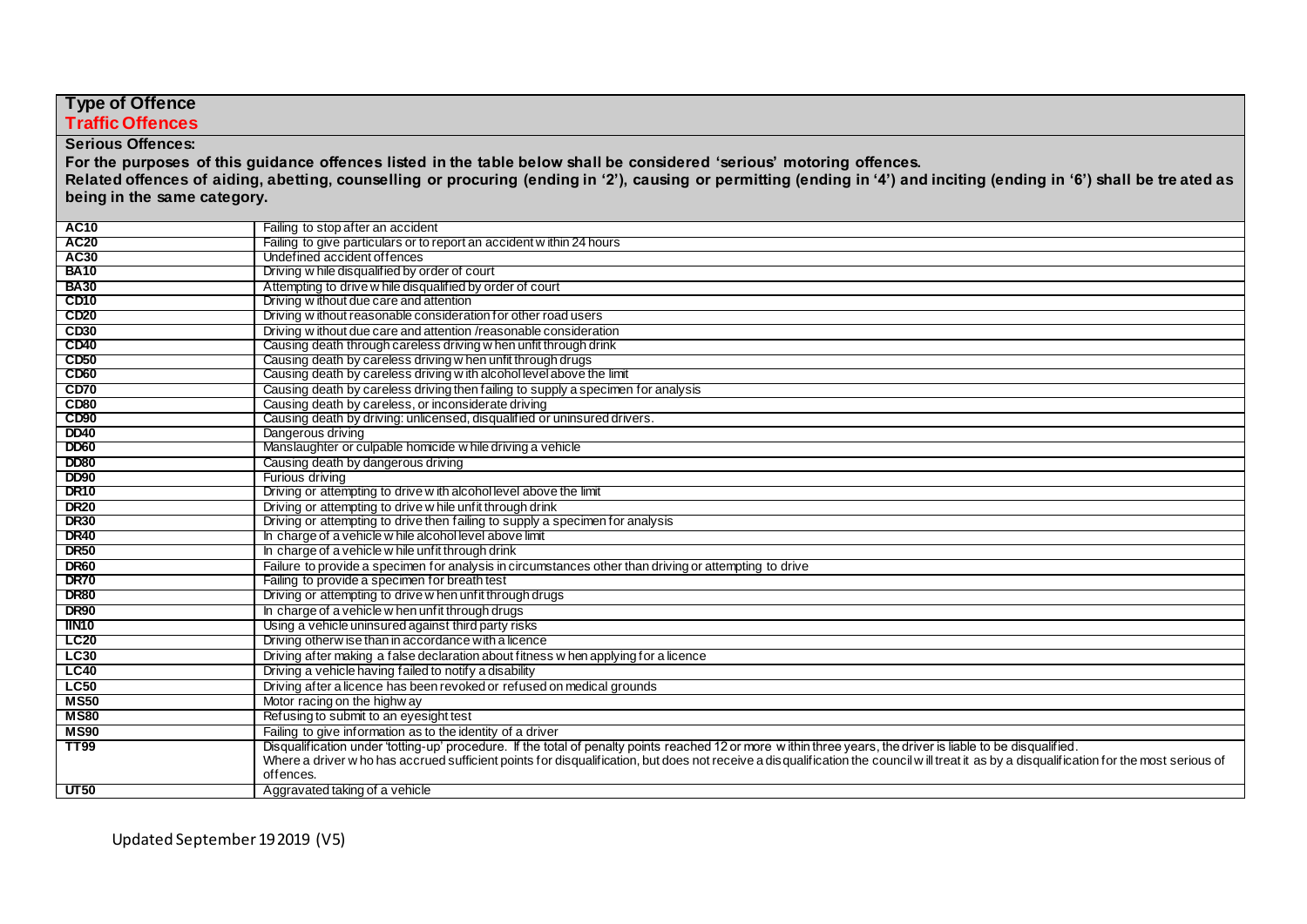| <b>Type of Offence</b>      |                                                                                                                                                                                                          |  |
|-----------------------------|----------------------------------------------------------------------------------------------------------------------------------------------------------------------------------------------------------|--|
| <b>Traffic Offences</b>     |                                                                                                                                                                                                          |  |
| <b>Serious Offences:</b>    |                                                                                                                                                                                                          |  |
|                             |                                                                                                                                                                                                          |  |
|                             | For the purposes of this guidance offences listed in the table below shall be considered 'serious' motoring offences.                                                                                    |  |
|                             | Related offences of aiding, abetting, counselling or procuring (ending in '2'), causing or permitting (ending in '4') and inciting (ending in '6') shall be tre ated as                                  |  |
| being in the same category. |                                                                                                                                                                                                          |  |
| <b>AC10</b>                 | Failing to stop after an accident                                                                                                                                                                        |  |
| <b>AC20</b>                 | Failing to give particulars or to report an accident within 24 hours                                                                                                                                     |  |
| AC30                        | Undefined accident offences                                                                                                                                                                              |  |
| <b>BA10</b>                 | Driving w hile disqualified by order of court                                                                                                                                                            |  |
| <b>BA30</b>                 | Attempting to drive w hile disqualified by order of court                                                                                                                                                |  |
| CD <sub>10</sub>            | Driving without due care and attention                                                                                                                                                                   |  |
| <b>CD20</b>                 | Driving without reasonable consideration for other road users                                                                                                                                            |  |
| CD30                        | Driving w ithout due care and attention /reasonable consideration                                                                                                                                        |  |
| <b>CD40</b>                 | Causing death through careless driving w hen unfit through drink                                                                                                                                         |  |
| <b>CD50</b>                 | Causing death by careless driving w hen unfit through drugs                                                                                                                                              |  |
| CD <sub>60</sub>            | Causing death by careless driving with alcohol level above the limit                                                                                                                                     |  |
| CD70                        | Causing death by careless driving then failing to supply a specimen for analysis                                                                                                                         |  |
| CD80                        | Causing death by careless, or inconsiderate driving                                                                                                                                                      |  |
| CD <sub>90</sub>            | Causing death by driving: unlicensed, disqualified or uninsured drivers.                                                                                                                                 |  |
| <b>DD40</b>                 | Dangerous driving                                                                                                                                                                                        |  |
| <b>DD60</b>                 | Manslaughter or culpable homicide w hile driving a vehicle                                                                                                                                               |  |
| <b>DD80</b>                 | Causing death by dangerous driving                                                                                                                                                                       |  |
| <b>DD90</b>                 | Furious driving                                                                                                                                                                                          |  |
| DR <sub>10</sub>            | Driving or attempting to drive with alcohol level above the limit                                                                                                                                        |  |
| <b>DR20</b>                 | Driving or attempting to drive w hile unfit through drink                                                                                                                                                |  |
| <b>DR30</b>                 | Driving or attempting to drive then failing to supply a specimen for analysis                                                                                                                            |  |
| <b>DR40</b>                 | In charge of a vehicle w hile alcohol level above limit                                                                                                                                                  |  |
| <b>DR50</b>                 | In charge of a vehicle w hile unfit through drink                                                                                                                                                        |  |
| <b>DR60</b>                 | Failure to provide a specimen for analysis in circumstances other than driving or attempting to drive                                                                                                    |  |
| <b>DR70</b>                 | Failing to provide a specimen for breath test                                                                                                                                                            |  |
| <b>DR80</b><br><b>DR90</b>  | Driving or attempting to drive w hen unfit through drugs                                                                                                                                                 |  |
| <b>IIN10</b>                | In charge of a vehicle w hen unfit through drugs<br>Using a vehicle uninsured against third party risks                                                                                                  |  |
| <b>LC20</b>                 | Driving otherw ise than in accordance with a licence                                                                                                                                                     |  |
|                             |                                                                                                                                                                                                          |  |
| <b>LC30</b>                 | Driving after making a false declaration about fitness w hen applying for a licence                                                                                                                      |  |
| <b>LC40</b>                 | Driving a vehicle having failed to notify a disability                                                                                                                                                   |  |
| <b>LC50</b><br><b>MS50</b>  | Driving after a licence has been revoked or refused on medical grounds                                                                                                                                   |  |
|                             | Motor racing on the highw ay                                                                                                                                                                             |  |
| <b>MS80</b>                 | Refusing to submit to an eyesight test                                                                                                                                                                   |  |
| <b>MS90</b>                 | Failing to give information as to the identity of a driver                                                                                                                                               |  |
| <b>TT99</b>                 | Disqualification under 'totting-up' procedure. If the total of penalty points reached 12 or more within three years, the driver is liable to be disqualified.                                            |  |
|                             | Where a driver w ho has accrued sufficient points for disqualification, but does not receive a disqualification the council w ill treat it as by a disqualification for the most serious of<br>offences. |  |
| UT50                        | Aggravated taking of a vehicle                                                                                                                                                                           |  |
|                             |                                                                                                                                                                                                          |  |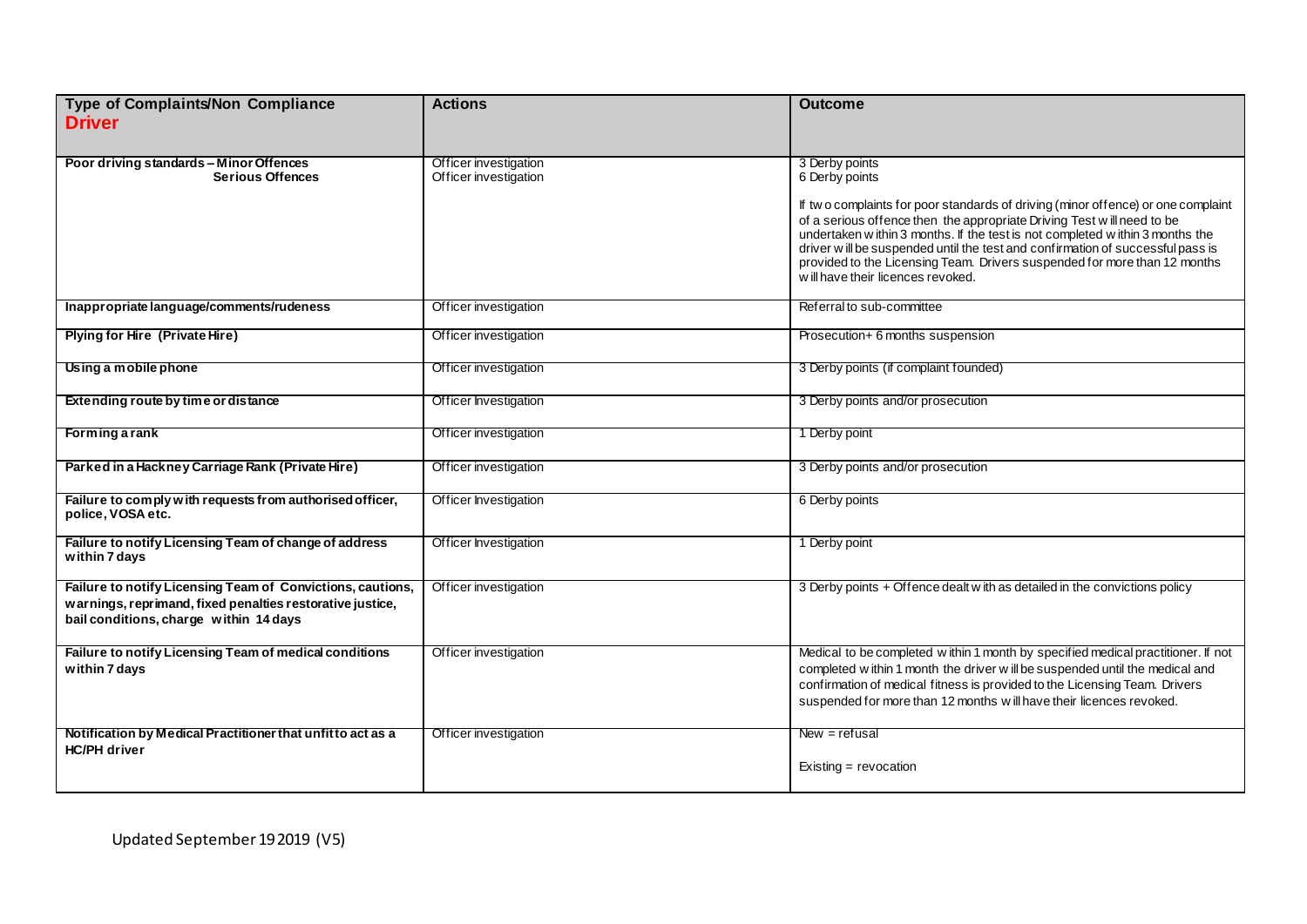| Type of Complaints/Non Compliance<br><b>Driver</b>                                                                                                                | <b>Actions</b>                                 | <b>Outcome</b>                                                                                                                                                                                                                                                                                                                                                                                                                                                                     |
|-------------------------------------------------------------------------------------------------------------------------------------------------------------------|------------------------------------------------|------------------------------------------------------------------------------------------------------------------------------------------------------------------------------------------------------------------------------------------------------------------------------------------------------------------------------------------------------------------------------------------------------------------------------------------------------------------------------------|
| Poor driving standards - Minor Offences<br><b>Serious Offences</b>                                                                                                | Officer investigation<br>Officer investigation | 3 Derby points<br>6 Derby points<br>If two complaints for poor standards of driving (minor offence) or one complaint<br>of a serious offence then the appropriate Driving Test will need to be<br>undertaken within 3 months. If the test is not completed within 3 months the<br>driver will be suspended until the test and confirmation of successful pass is<br>provided to the Licensing Team. Drivers suspended for more than 12 months<br>will have their licences revoked. |
| Inappropriate language/comments/rudeness                                                                                                                          | Officer investigation                          | Referral to sub-committee                                                                                                                                                                                                                                                                                                                                                                                                                                                          |
| <b>Plying for Hire (Private Hire)</b>                                                                                                                             | Officer investigation                          | Prosecution+ 6 months suspension                                                                                                                                                                                                                                                                                                                                                                                                                                                   |
| Using a mobile phone                                                                                                                                              | Officer investigation                          | 3 Derby points (if complaint founded)                                                                                                                                                                                                                                                                                                                                                                                                                                              |
| Extending route by time or distance                                                                                                                               | Officer Investigation                          | 3 Derby points and/or prosecution                                                                                                                                                                                                                                                                                                                                                                                                                                                  |
| <b>Forming a rank</b>                                                                                                                                             | Officer investigation                          | 1 Derby point                                                                                                                                                                                                                                                                                                                                                                                                                                                                      |
| Parked in a Hackney Carriage Rank (Private Hire)                                                                                                                  | Officer investigation                          | 3 Derby points and/or prosecution                                                                                                                                                                                                                                                                                                                                                                                                                                                  |
| Failure to comply with requests from authorised officer,<br>police, VOSA etc.                                                                                     | <b>Officer Investigation</b>                   | 6 Derby points                                                                                                                                                                                                                                                                                                                                                                                                                                                                     |
| Failure to notify Licensing Team of change of address<br>within 7 days                                                                                            | Officer Investigation                          | 1 Derby point                                                                                                                                                                                                                                                                                                                                                                                                                                                                      |
| Failure to notify Licensing Team of Convictions, cautions,<br>warnings, reprimand, fixed penalties restorative justice,<br>bail conditions, charge within 14 days | Officer investigation                          | 3 Derby points + Offence dealt w ith as detailed in the convictions policy                                                                                                                                                                                                                                                                                                                                                                                                         |
| Failure to notify Licensing Team of medical conditions<br>within 7 days                                                                                           | Officer investigation                          | Medical to be completed within 1 month by specified medical practitioner. If not<br>completed within 1 month the driver will be suspended until the medical and<br>confirmation of medical fitness is provided to the Licensing Team. Drivers<br>suspended for more than 12 months w ill have their licences revoked.                                                                                                                                                              |
| Notification by Medical Practitioner that unfit to act as a<br><b>HC/PH</b> driver                                                                                | Officer investigation                          | $New = refusal$<br>Existing = $revocation$                                                                                                                                                                                                                                                                                                                                                                                                                                         |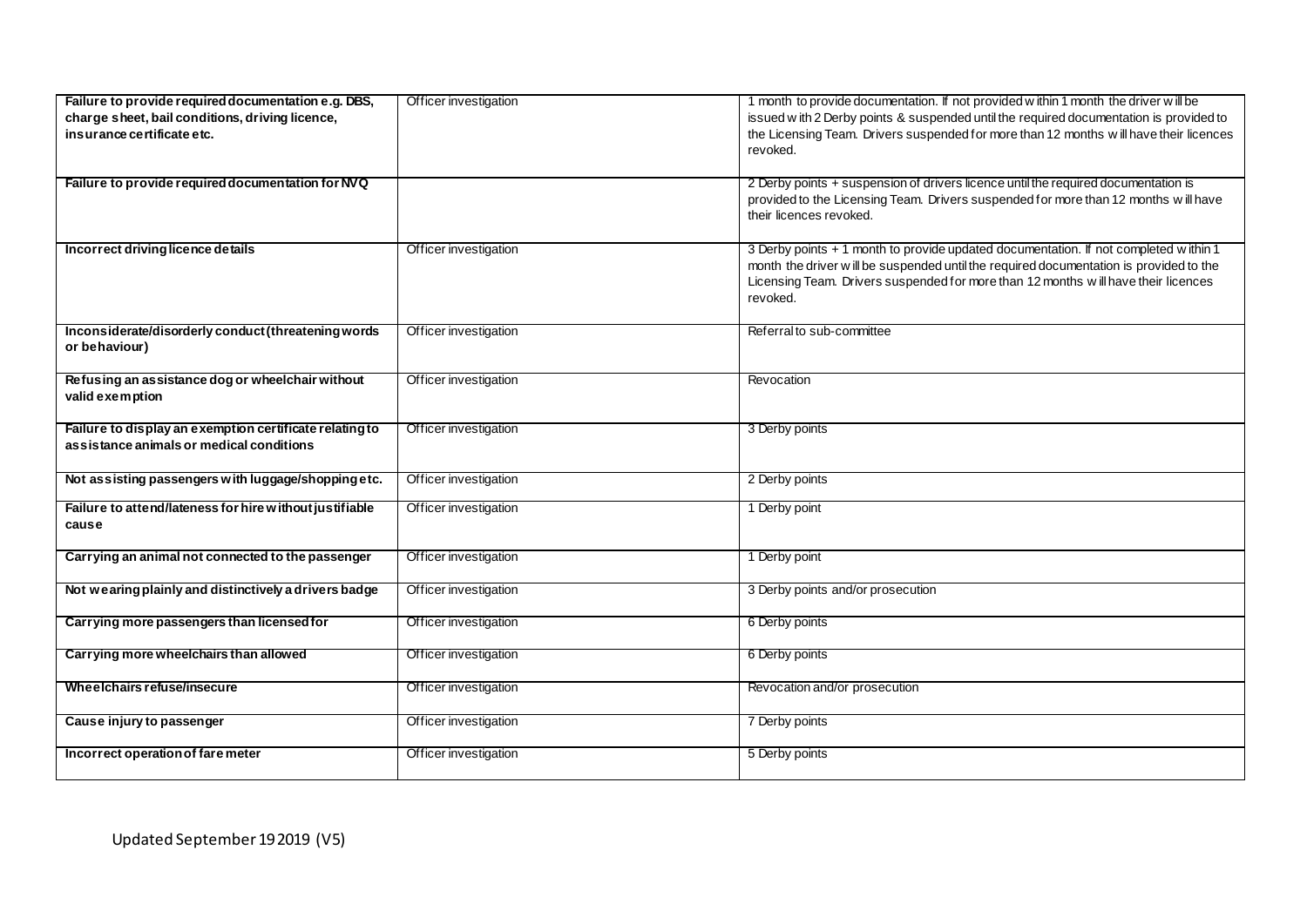| Failure to provide required documentation e.g. DBS,<br>charge sheet, bail conditions, driving licence,<br>insurance certificate etc.<br>Failure to provide required documentation for NVQ | Officer investigation | 1 month to provide documentation. If not provided within 1 month the driver will be<br>issued w ith 2 Derby points & suspended until the required documentation is provided to<br>the Licensing Team. Drivers suspended for more than 12 months will have their licences<br>revoked.<br>2 Derby points + suspension of drivers licence until the required documentation is |
|-------------------------------------------------------------------------------------------------------------------------------------------------------------------------------------------|-----------------------|----------------------------------------------------------------------------------------------------------------------------------------------------------------------------------------------------------------------------------------------------------------------------------------------------------------------------------------------------------------------------|
|                                                                                                                                                                                           |                       | provided to the Licensing Team. Drivers suspended for more than 12 months will have<br>their licences revoked.                                                                                                                                                                                                                                                             |
| Incorrect driving licence details                                                                                                                                                         | Officer investigation | 3 Derby points + 1 month to provide updated documentation. If not completed within 1<br>month the driver will be suspended until the required documentation is provided to the<br>Licensing Team. Drivers suspended for more than 12 months will have their licences<br>revoked.                                                                                           |
| Inconsiderate/disorderly conduct (threatening words<br>or behaviour)                                                                                                                      | Officer investigation | Referral to sub-committee                                                                                                                                                                                                                                                                                                                                                  |
| Refusing an assistance dog or wheelchair without<br>valid exemption                                                                                                                       | Officer investigation | Revocation                                                                                                                                                                                                                                                                                                                                                                 |
| Failure to display an exemption certificate relating to<br>assistance animals or medical conditions                                                                                       | Officer investigation | 3 Derby points                                                                                                                                                                                                                                                                                                                                                             |
| Not assisting passengers with luggage/shopping etc.                                                                                                                                       | Officer investigation | 2 Derby points                                                                                                                                                                                                                                                                                                                                                             |
| Failure to attend/lateness for hire without justifiable<br>cause                                                                                                                          | Officer investigation | 1 Derby point                                                                                                                                                                                                                                                                                                                                                              |
| Carrying an animal not connected to the passenger                                                                                                                                         | Officer investigation | 1 Derby point                                                                                                                                                                                                                                                                                                                                                              |
| Not wearing plainly and distinctively a drivers badge                                                                                                                                     | Officer investigation | 3 Derby points and/or prosecution                                                                                                                                                                                                                                                                                                                                          |
| Carrying more passengers than licensed for                                                                                                                                                | Officer investigation | 6 Derby points                                                                                                                                                                                                                                                                                                                                                             |
| Carrying more wheelchairs than allowed                                                                                                                                                    | Officer investigation | 6 Derby points                                                                                                                                                                                                                                                                                                                                                             |
| Wheelchairs refuse/insecure                                                                                                                                                               | Officer investigation | Revocation and/or prosecution                                                                                                                                                                                                                                                                                                                                              |
| Cause injury to passenger                                                                                                                                                                 | Officer investigation | 7 Derby points                                                                                                                                                                                                                                                                                                                                                             |
| Incorrect operation of fare meter                                                                                                                                                         | Officer investigation | 5 Derby points                                                                                                                                                                                                                                                                                                                                                             |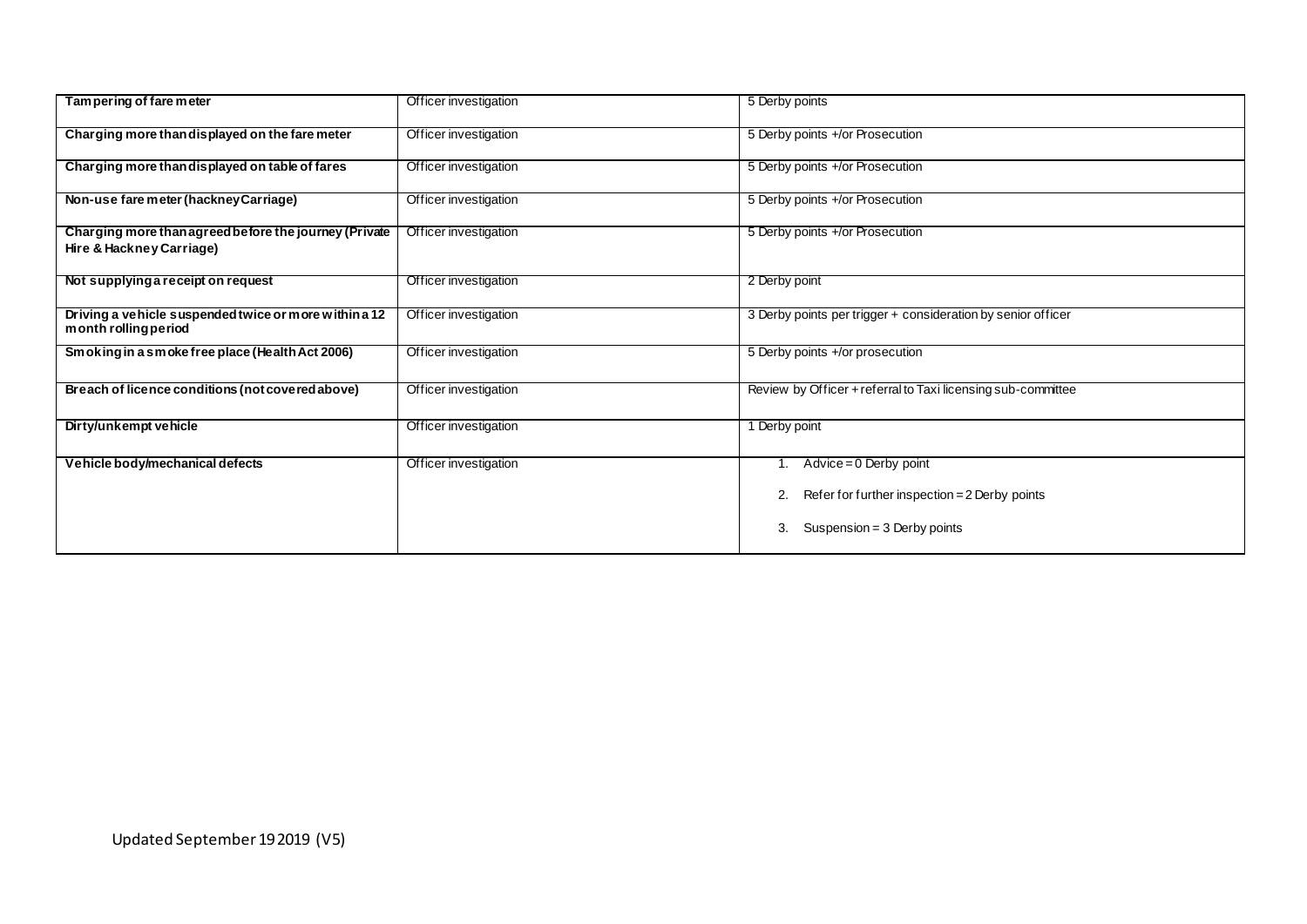| Tam per ing of fare meter                                                         | Officer investigation | 5 Derby points                                                                                                           |
|-----------------------------------------------------------------------------------|-----------------------|--------------------------------------------------------------------------------------------------------------------------|
| Charging more than displayed on the fare meter                                    | Officer investigation | 5 Derby points +/or Prosecution                                                                                          |
| Charging more than displayed on table of fares                                    | Officer investigation | 5 Derby points +/or Prosecution                                                                                          |
| Non-use fare meter (hackney Carriage)                                             | Officer investigation | 5 Derby points +/or Prosecution                                                                                          |
| Charging more than agreed before the journey (Private<br>Hire & Hackney Carriage) | Officer investigation | 5 Derby points +/or Prosecution                                                                                          |
| Not supplying a receipt on request                                                | Officer investigation | 2 Derby point                                                                                                            |
| Driving a vehicle suspended twice or more within a 12<br>month rolling period     | Officer investigation | 3 Derby points per trigger + consideration by senior officer                                                             |
| Smoking in a smoke free place (Health Act 2006)                                   | Officer investigation | 5 Derby points +/or prosecution                                                                                          |
| Breach of licence conditions (not covered above)                                  | Officer investigation | Review by Officer + referral to Taxi licensing sub-committee                                                             |
| Dirty/unkempt vehicle                                                             | Officer investigation | 1 Derby point                                                                                                            |
| Vehicle body/mechanical defects                                                   | Officer investigation | $Advice = 0$ Derby point<br>Refer for further inspection $= 2$ Derby points<br>2.<br>3.<br>Suspension = $3$ Derby points |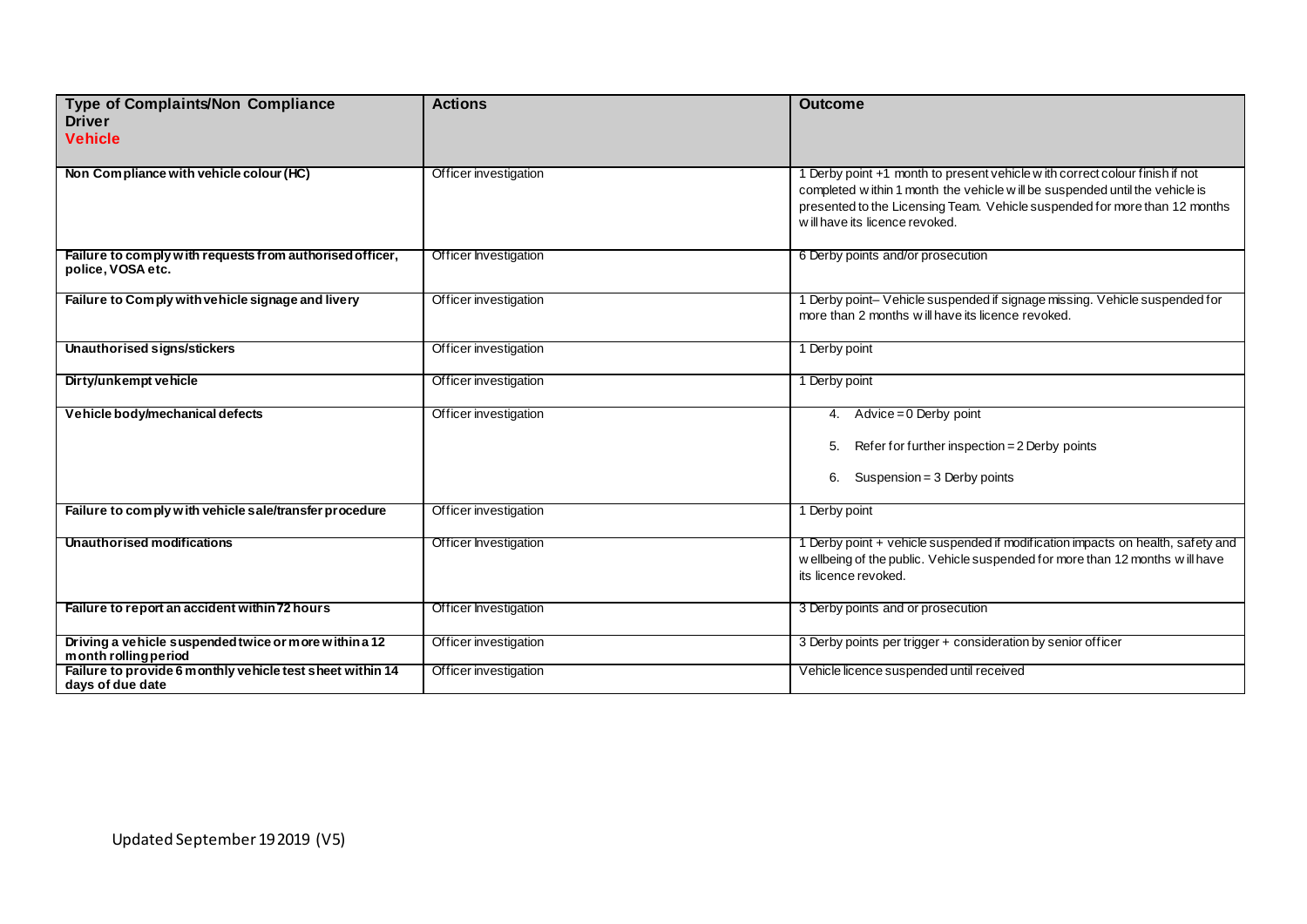| Type of Complaints/Non Compliance<br><b>Driver</b><br><b>Vehicle</b>           | <b>Actions</b>        | <b>Outcome</b>                                                                                                                                                                                                                                                                |
|--------------------------------------------------------------------------------|-----------------------|-------------------------------------------------------------------------------------------------------------------------------------------------------------------------------------------------------------------------------------------------------------------------------|
| Non Compliance with vehicle colour (HC)                                        | Officer investigation | 1 Derby point +1 month to present vehicle w ith correct colour finish if not<br>completed w ithin 1 month the vehicle w ill be suspended until the vehicle is<br>presented to the Licensing Team. Vehicle suspended for more than 12 months<br>will have its licence revoked. |
| Failure to comply with requests from authorised officer,<br>police, VOSA etc.  | Officer Investigation | 6 Derby points and/or prosecution                                                                                                                                                                                                                                             |
| Failure to Comply with vehicle signage and livery                              | Officer investigation | 1 Derby point- Vehicle suspended if signage missing. Vehicle suspended for<br>more than 2 months will have its licence revoked.                                                                                                                                               |
| <b>Unauthorised signs/stickers</b>                                             | Officer investigation | 1 Derby point                                                                                                                                                                                                                                                                 |
| Dirty/unkempt vehicle                                                          | Officer investigation | 1 Derby point                                                                                                                                                                                                                                                                 |
| Vehicle body/mechanical defects                                                | Officer investigation | 4. Advice = $0$ Derby point<br>Refer for further inspection = 2 Derby points<br>5.<br>Suspension = $3$ Derby points<br>6.                                                                                                                                                     |
| Failure to comply with vehicle sale/transfer procedure                         | Officer investigation | 1 Derby point                                                                                                                                                                                                                                                                 |
| Unauthor ised modifications                                                    | Officer Investigation | 1 Derby point + vehicle suspended if modification impacts on health, safety and<br>w ellbeing of the public. Vehicle suspended for more than 12 months will have<br>its licence revoked.                                                                                      |
| Failure to report an accident within 72 hours                                  | Officer Investigation | 3 Derby points and or prosecution                                                                                                                                                                                                                                             |
| Driving a vehicle suspended twice or more within a 12<br>month rolling period  | Officer investigation | 3 Derby points per trigger + consideration by senior officer                                                                                                                                                                                                                  |
| Failure to provide 6 m onthly vehicle test sheet within 14<br>days of due date | Officer investigation | Vehicle licence suspended until received                                                                                                                                                                                                                                      |